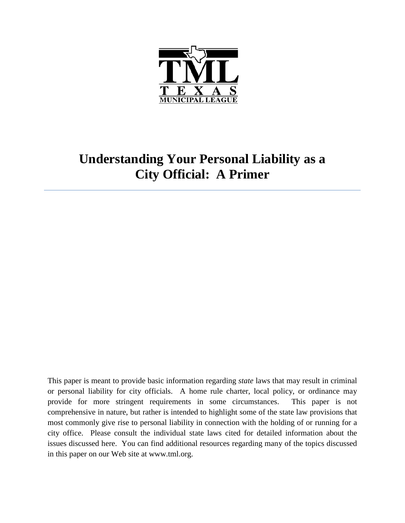

# **Understanding Your Personal Liability as a City Official: A Primer**

This paper is meant to provide basic information regarding *state* laws that may result in criminal or personal liability for city officials. A home rule charter, local policy, or ordinance may provide for more stringent requirements in some circumstances. This paper is not comprehensive in nature, but rather is intended to highlight some of the state law provisions that most commonly give rise to personal liability in connection with the holding of or running for a city office. Please consult the individual state laws cited for detailed information about the issues discussed here. You can find additional resources regarding many of the topics discussed in this paper on our Web site at www.tml.org.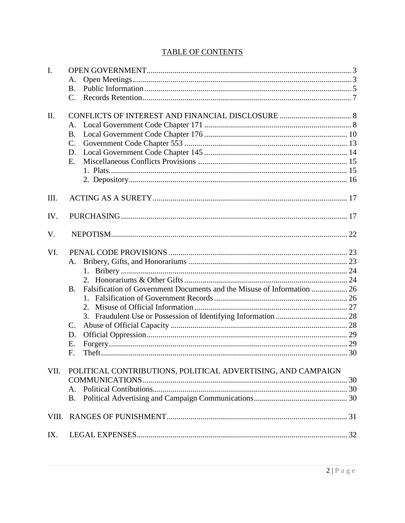## **TABLE OF CONTENTS**

| $\mathbf{I}$ . |                                                                                      |  |
|----------------|--------------------------------------------------------------------------------------|--|
|                | А.                                                                                   |  |
|                | В.                                                                                   |  |
|                | C.                                                                                   |  |
|                |                                                                                      |  |
| II.            |                                                                                      |  |
|                | А.                                                                                   |  |
|                | <b>B.</b>                                                                            |  |
|                | $\mathcal{C}$ .                                                                      |  |
|                | D.                                                                                   |  |
|                | Ε.                                                                                   |  |
|                |                                                                                      |  |
|                |                                                                                      |  |
| III.           |                                                                                      |  |
| IV.            |                                                                                      |  |
| V.             |                                                                                      |  |
| VI.            |                                                                                      |  |
|                | А.                                                                                   |  |
|                |                                                                                      |  |
|                |                                                                                      |  |
|                | Falsification of Government Documents and the Misuse of Information  26<br><b>B.</b> |  |
|                |                                                                                      |  |
|                | 2.                                                                                   |  |
|                |                                                                                      |  |
|                | $\mathcal{C}$ .                                                                      |  |
|                | D.                                                                                   |  |
|                | Е.                                                                                   |  |
|                | F.                                                                                   |  |
|                |                                                                                      |  |
| VII.           | POLITICAL CONTRIBUTIONS, POLITICAL ADVERTISING, AND CAMPAIGN                         |  |
|                |                                                                                      |  |
|                | Α.                                                                                   |  |
|                | B.                                                                                   |  |
| VIII.          |                                                                                      |  |
| IX.            |                                                                                      |  |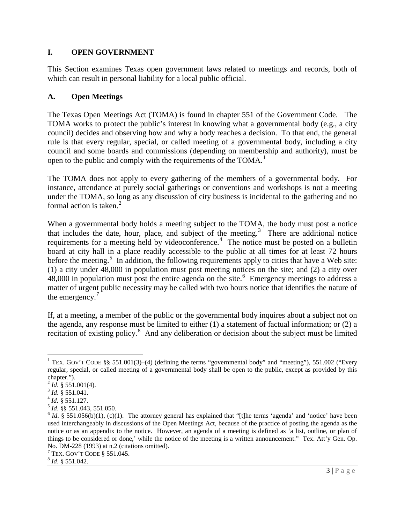#### **I. OPEN GOVERNMENT**

This Section examines Texas open government laws related to meetings and records, both of which can result in personal liability for a local public official.

#### **A. Open Meetings**

The Texas Open Meetings Act (TOMA) is found in chapter 551 of the Government Code. The TOMA works to protect the public's interest in knowing what a governmental body (e.g., a city council) decides and observing how and why a body reaches a decision. To that end, the general rule is that every regular, special, or called meeting of a governmental body, including a city council and some boards and commissions (depending on membership and authority), must be open to the public and comply with the requirements of the TOMA.<sup>[1](#page-2-0)</sup>

The TOMA does not apply to every gathering of the members of a governmental body. For instance, attendance at purely social gatherings or conventions and workshops is not a meeting under the TOMA, so long as any discussion of city business is incidental to the gathering and no formal action is taken.<sup>[2](#page-2-1)</sup>

When a governmental body holds a meeting subject to the TOMA, the body must post a notice that includes the date, hour, place, and subject of the meeting.<sup>[3](#page-2-2)</sup> There are additional notice requirements for a meeting held by videoconference.<sup>[4](#page-2-3)</sup> The notice must be posted on a bulletin board at city hall in a place readily accessible to the public at all times for at least 72 hours before the meeting.<sup>[5](#page-2-4)</sup> In addition, the following requirements apply to cities that have a Web site: (1) a city under 48,000 in population must post meeting notices on the site; and (2) a city over  $48,000$  in population must post the entire agenda on the site.<sup>[6](#page-2-5)</sup> Emergency meetings to address a matter of urgent public necessity may be called with two hours notice that identifies the nature of the emergency.<sup>[7](#page-2-6)</sup>

If, at a meeting, a member of the public or the governmental body inquires about a subject not on the agenda, any response must be limited to either (1) a statement of factual information; or (2) a recitation of existing policy.<sup>[8](#page-2-7)</sup> And any deliberation or decision about the subject must be limited

<span id="page-2-0"></span><sup>&</sup>lt;sup>1</sup> TEX. GOV'T CODE §§ 551.001(3)–(4) (defining the terms "governmental body" and "meeting"), 551.002 ("Every regular, special, or called meeting of a governmental body shall be open to the public, except as provided by this

chapter.").<br> $^{2}$  *Id.* § 551.001(4).

<span id="page-2-5"></span><span id="page-2-4"></span>

<span id="page-2-3"></span><span id="page-2-2"></span><span id="page-2-1"></span><sup>&</sup>lt;sup>3</sup> *Id.* § 551.041.<br>
<sup>4</sup> *Id.* § 551.127.<br>
<sup>5</sup> *Id.* § 551.043, 551.050.<br>
<sup>6</sup> *Id.* § 551.056(b)(1), (c)(1). The attorney general has explained that "[t]he terms 'agenda' and 'notice' have been used interchangeably in discussions of the Open Meetings Act, because of the practice of posting the agenda as the notice or as an appendix to the notice. However, an agenda of a meeting is defined as 'a list, outline, or plan of things to be considered or done,' while the notice of the meeting is a written announcement." Tex. Att'y Gen. Op. No. DM-228 (1993) at n.2 (citations omitted).<br><sup>7</sup> TEX. GOV'T CODE § 551.045.<br><sup>8</sup> *Id*. § 551.042.

<span id="page-2-6"></span>

<span id="page-2-7"></span>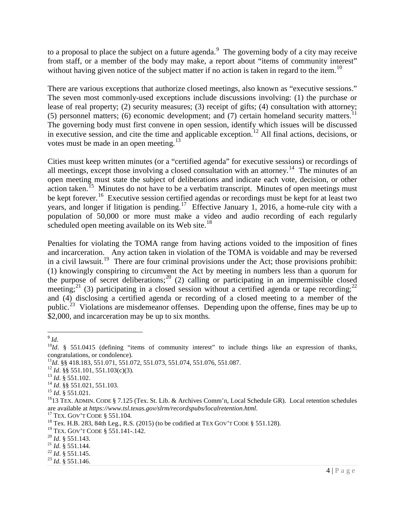to a proposal to place the subject on a future agenda.<sup>[9](#page-3-0)</sup> The governing body of a city may receive from staff, or a member of the body may make, a report about "items of community interest" without having given notice of the subject matter if no action is taken in regard to the item.<sup>[10](#page-3-1)</sup>

There are various exceptions that authorize closed meetings, also known as "executive sessions." The seven most commonly-used exceptions include discussions involving: (1) the purchase or lease of real property; (2) security measures; (3) receipt of gifts; (4) consultation with attorney; (5) personnel matters; (6) economic development; and (7) certain homeland security matters.<sup>[11](#page-3-2)</sup> The governing body must first convene in open session, identify which issues will be discussed in executive session, and cite the time and applicable exception.<sup>[12](#page-3-3)</sup> All final actions, decisions, or votes must be made in an open meeting.<sup>[13](#page-3-4)</sup>

Cities must keep written minutes (or a "certified agenda" for executive sessions) or recordings of all meetings, except those involving a closed consultation with an attorney.<sup>[14](#page-3-5)</sup> The minutes of an open meeting must state the subject of deliberations and indicate each vote, decision, or other action taken.<sup>[15](#page-3-6)</sup> Minutes do not have to be a verbatim transcript. Minutes of open meetings must be kept forever.<sup>[16](#page-3-7)</sup> Executive session certified agendas or recordings must be kept for at least two years, and longer if litigation is pending.<sup>[17](#page-3-8)</sup> Effective January 1, 2016, a home-rule city with a population of 50,000 or more must make a video and audio recording of each regularly scheduled open meeting available on its Web site.<sup>[18](#page-3-9)</sup>

Penalties for violating the TOMA range from having actions voided to the imposition of fines and incarceration. Any action taken in violation of the TOMA is voidable and may be reversed in a civil lawsuit.<sup>[19](#page-3-10)</sup> There are four criminal provisions under the Act; those provisions prohibit: (1) knowingly conspiring to circumvent the Act by meeting in numbers less than a quorum for the purpose of secret deliberations;<sup>[20](#page-3-11)</sup> (2) calling or participating in an impermissible closed meeting;<sup>[21](#page-3-12)</sup> (3) participating in a closed session without a certified agenda or tape recording;<sup>[22](#page-3-13)</sup> and (4) disclosing a certified agenda or recording of a closed meeting to a member of the public.<sup>[23](#page-3-14)</sup> Violations are misdemeanor offenses. Depending upon the offense, fines may be up to \$2,000, and incarceration may be up to six months.

<span id="page-3-0"></span> $9$   $Id.$ 

<span id="page-3-1"></span><sup>&</sup>lt;sup>10</sup>*Id*. § 551.0415 (defining "items of community interest" to include things like an expression of thanks,

<span id="page-3-2"></span>

<span id="page-3-3"></span>

<span id="page-3-4"></span>

<span id="page-3-5"></span>

<span id="page-3-7"></span><span id="page-3-6"></span>

congratulations, or condolence).<br><sup>11</sup>Id. §§ 418.183, 551.071, 551.072, 551.073, 551.074, 551.076, 551.087.<br><sup>12</sup> Id. §§ 551.101, 551.103(c)(3).<br><sup>13</sup> Id. §§ 551.021, 551.103.<br><sup>15</sup> Id. §§ 551.021.<br><sup>15</sup> Id. § 551.021.<br><sup>16</sup>13 T

<span id="page-3-8"></span><sup>&</sup>lt;sup>17</sup> TEX. GOV'T CODE § 551.104.<br><sup>18</sup> Tex. H.B. 283, 84th Leg., R.S. (2015) (to be codified at TEX GOV'T CODE § 551.128).

<span id="page-3-10"></span><span id="page-3-9"></span><sup>&</sup>lt;sup>19</sup> TEX. GOV'T CODE § 551.141-.142.<br><sup>20</sup> *Id*. § 551.143.<br><sup>21</sup> *Id*. § 551.144.<br><sup>22</sup> *Id*. § 551.145.<br><sup>23</sup> *Id*. § 551.146.

<span id="page-3-11"></span>

<span id="page-3-12"></span>

<span id="page-3-13"></span>

<span id="page-3-14"></span>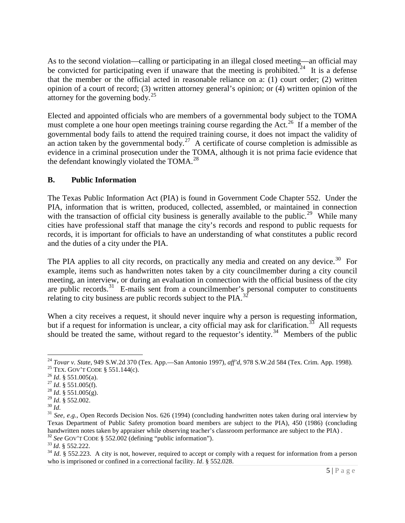As to the second violation—calling or participating in an illegal closed meeting—an official may be convicted for participating even if unaware that the meeting is prohibited.<sup>[24](#page-4-0)</sup> It is a defense that the member or the official acted in reasonable reliance on a: (1) court order; (2) written opinion of a court of record; (3) written attorney general's opinion; or (4) written opinion of the attorney for the governing body. $25$ 

Elected and appointed officials who are members of a governmental body subject to the TOMA must complete a one hour open meetings training course regarding the Act.<sup>26</sup> If a member of the governmental body fails to attend the required training course, it does not impact the validity of an action taken by the governmental body.<sup>27</sup> A certificate of course completion is admissible as evidence in a criminal prosecution under the TOMA, although it is not prima facie evidence that the defendant knowingly violated the TOMA.<sup>[28](#page-4-4)</sup>

#### **B. Public Information**

The Texas Public Information Act (PIA) is found in Government Code Chapter 552. Under the PIA, information that is written, produced, collected, assembled, or maintained in connection with the transaction of official city business is generally available to the public.<sup>[29](#page-4-5)</sup> While many cities have professional staff that manage the city's records and respond to public requests for records, it is important for officials to have an understanding of what constitutes a public record and the duties of a city under the PIA.

The PIA applies to all city records, on practically any media and created on any device.<sup>30</sup> For example, items such as handwritten notes taken by a city councilmember during a city council meeting, an interview, or during an evaluation in connection with the official business of the city are public records. $31$  E-mails sent from a councilmember's personal computer to constituents relating to city business are public records subject to the PIA.<sup>32</sup>

When a city receives a request, it should never inquire why a person is requesting information, but if a request for information is unclear, a city official may ask for clarification.<sup>[33](#page-4-9)</sup> All requests should be treated the same, without regard to the requestor's identity.<sup>[34](#page-4-10)</sup> Members of the public

<span id="page-4-0"></span><sup>24</sup> *Tovar v. State*, 949 S.W.2d 370 (Tex. App.—San Antonio 1997), *aff'd*, 978 S.W.2d 584 (Tex. Crim. App. 1998).

<span id="page-4-2"></span><span id="page-4-1"></span><sup>&</sup>lt;sup>25</sup> TEX. GOV'T CODE § 551.144(c).<br><sup>26</sup> *Id*. § 551.005(a).<br><sup>27</sup> *Id*. § 551.005(f).<br><sup>28</sup> *Id*. § 551.005(g).<br><sup>29</sup> *Id*. § 552.002.

<span id="page-4-3"></span>

<span id="page-4-4"></span>

<span id="page-4-7"></span><span id="page-4-6"></span><span id="page-4-5"></span><sup>&</sup>lt;sup>30</sup> *Id.* § *Id.* § *Id.* § *Id.* § *Id. See, e.g.*, Open Records Decision Nos. 626 (1994) (concluding handwritten notes taken during oral interview by Texas Department of Public Safety promotion board members are subject to the PIA), 450 (1986) (concluding handwritten notes taken by appraiser while observing teacher's classroom performance are subject to the PIA).<br><sup>32</sup> See GOV'T CODE § 552.002 (defining "public information").<br><sup>33</sup> Id. § 552.222.<br><sup>34</sup> Id. § 552.223. A city i

<span id="page-4-8"></span>

<span id="page-4-10"></span><span id="page-4-9"></span>who is imprisoned or confined in a correctional facility. *Id*. § 552.028.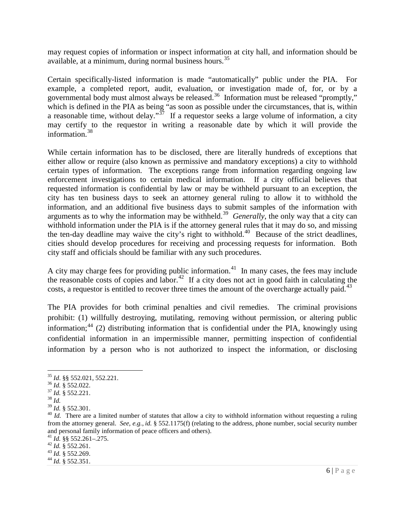may request copies of information or inspect information at city hall, and information should be available, at a minimum, during normal business hours.<sup>[35](#page-5-0)</sup>

Certain specifically-listed information is made "automatically" public under the PIA. For example, a completed report, audit, evaluation, or investigation made of, for, or by a governmental body must almost always be released.<sup>[36](#page-5-1)</sup> Information must be released "promptly," which is defined in the PIA as being "as soon as possible under the circumstances, that is, within a reasonable time, without delay."<sup> $37$ </sup> If a requestor seeks a large volume of information, a city may certify to the requestor in writing a reasonable date by which it will provide the information.[38](#page-5-3)

While certain information has to be disclosed, there are literally hundreds of exceptions that either allow or require (also known as permissive and mandatory exceptions) a city to withhold certain types of information. The exceptions range from information regarding ongoing law enforcement investigations to certain medical information. If a city official believes that requested information is confidential by law or may be withheld pursuant to an exception, the city has ten business days to seek an attorney general ruling to allow it to withhold the information, and an additional five business days to submit samples of the information with arguments as to why the information may be withheld.<sup>[39](#page-5-4)</sup> *Generally*, the only way that a city can withhold information under the PIA is if the attorney general rules that it may do so, and missing the ten-day deadline may waive the city's right to withhold.<sup>[40](#page-5-5)</sup> Because of the strict deadlines, cities should develop procedures for receiving and processing requests for information. Both city staff and officials should be familiar with any such procedures.

A city may charge fees for providing public information.<sup>[41](#page-5-6)</sup> In many cases, the fees may include the reasonable costs of copies and labor.<sup>[42](#page-5-7)</sup> If a city does not act in good faith in calculating the costs, a requestor is entitled to recover three times the amount of the overcharge actually paid.<sup>[43](#page-5-8)</sup>

The PIA provides for both criminal penalties and civil remedies. The criminal provisions prohibit: (1) willfully destroying, mutilating, removing without permission, or altering public information;<sup>[44](#page-5-9)</sup> (2) distributing information that is confidential under the PIA, knowingly using confidential information in an impermissible manner, permitting inspection of confidential information by a person who is not authorized to inspect the information, or disclosing

<span id="page-5-9"></span>

<span id="page-5-0"></span><sup>35</sup> *Id*. §§ 552.021, 552.221.

<span id="page-5-2"></span><span id="page-5-1"></span><sup>36</sup> *Id.* § 552.022. <sup>37</sup> *Id.* § 552.221. <sup>38</sup> *Id.*

<span id="page-5-3"></span>

<span id="page-5-5"></span><span id="page-5-4"></span><sup>&</sup>lt;sup>40</sup> *Id.* There are a limited number of statutes that allow a city to withhold information without requesting a ruling from the attorney general. *See, e.g.*, *id.* § 552.1175(f) (relating to the address, phone number, social security number and personal family information of peace officers and others).<br><sup>41</sup> *Id.* §§ 552.261–.275.<br><sup>42</sup> *Id.* § 552.261.<br><sup>43</sup> *Id.* § 552.269.<br><sup>44</sup> *Id.* § 552.351.

<span id="page-5-6"></span>

<span id="page-5-7"></span>

<span id="page-5-8"></span>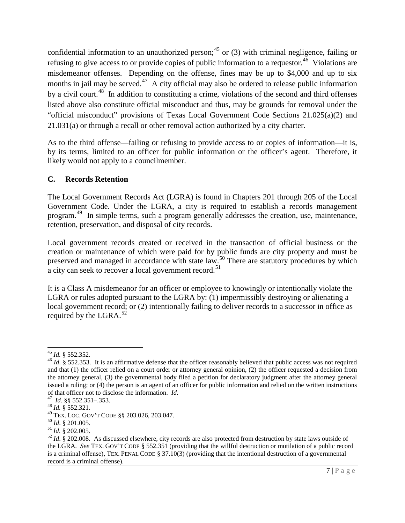confidential information to an unauthorized person;<sup>[45](#page-6-0)</sup> or (3) with criminal negligence, failing or refusing to give access to or provide copies of public information to a requestor.<sup>[46](#page-6-1)</sup> Violations are misdemeanor offenses. Depending on the offense, fines may be up to \$4,000 and up to six months in jail may be served. $47$  A city official may also be ordered to release public information by a civil court.<sup>[48](#page-6-3)</sup> In addition to constituting a crime, violations of the second and third offenses listed above also constitute official misconduct and thus, may be grounds for removal under the "official misconduct" provisions of Texas Local Government Code Sections 21.025(a)(2) and 21.031(a) or through a recall or other removal action authorized by a city charter.

As to the third offense—failing or refusing to provide access to or copies of information—it is, by its terms, limited to an officer for public information or the officer's agent. Therefore, it likely would not apply to a councilmember.

## **C. Records Retention**

The Local Government Records Act (LGRA) is found in Chapters 201 through 205 of the Local Government Code. Under the LGRA, a city is required to establish a records management program.<sup>[49](#page-6-4)</sup> In simple terms, such a program generally addresses the creation, use, maintenance, retention, preservation, and disposal of city records.

Local government records created or received in the transaction of official business or the creation or maintenance of which were paid for by public funds are city property and must be preserved and managed in accordance with state law.<sup>[50](#page-6-5)</sup> There are statutory procedures by which a city can seek to recover a local government record.<sup>51</sup>

It is a Class A misdemeanor for an officer or employee to knowingly or intentionally violate the LGRA or rules adopted pursuant to the LGRA by: (1) impermissibly destroying or alienating a local government record; or (2) intentionally failing to deliver records to a successor in office as required by the LGRA.<sup>[52](#page-6-7)</sup>

<span id="page-6-1"></span><span id="page-6-0"></span><sup>&</sup>lt;sup>45</sup> *Id.* § 552.352.<br><sup>46</sup> *Id.* § 552.353. It is an affirmative defense that the officer reasonably believed that public access was not required and that (1) the officer relied on a court order or attorney general opinion, (2) the officer requested a decision from the attorney general, (3) the governmental body filed a petition for declaratory judgment after the attorney general issued a ruling; or (4) the person is an agent of an officer for public information and relied on the written instructions of that officer not to disclose the information. *Id.*<br><sup>47</sup>*Id.* §§ 552.351–.353.<br><sup>48</sup>*Id.* § 552.321.<br><sup>49</sup> TEX. LOC. GOV'T CODE §§ 203.026, 203.047.

<span id="page-6-2"></span>

<span id="page-6-3"></span>

<span id="page-6-7"></span>

<span id="page-6-6"></span><span id="page-6-5"></span><span id="page-6-4"></span><sup>&</sup>lt;sup>50</sup> Id. § 201.005.<br><sup>51</sup> Id. § 202.005.<br><sup>52</sup> Id. § 202.008. As discussed elsewhere, city records are also protected from destruction by state laws outside of the LGRA. *See* TEX. GOV'T CODE § 552.351 (providing that the willful destruction or mutilation of a public record is a criminal offense), TEX. PENAL CODE § 37.10(3) (providing that the intentional destruction of a governmental record is a criminal offense).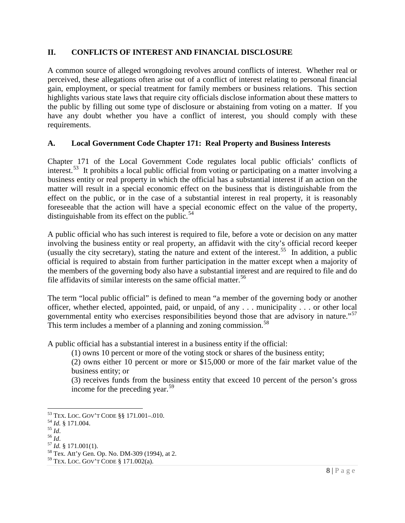#### **II. CONFLICTS OF INTEREST AND FINANCIAL DISCLOSURE**

A common source of alleged wrongdoing revolves around conflicts of interest. Whether real or perceived, these allegations often arise out of a conflict of interest relating to personal financial gain, employment, or special treatment for family members or business relations. This section highlights various state laws that require city officials disclose information about these matters to the public by filling out some type of disclosure or abstaining from voting on a matter. If you have any doubt whether you have a conflict of interest, you should comply with these requirements.

## **A. Local Government Code Chapter 171: Real Property and Business Interests**

Chapter 171 of the Local Government Code regulates local public officials' conflicts of interest.<sup>[53](#page-7-0)</sup> It prohibits a local public official from voting or participating on a matter involving a business entity or real property in which the official has a substantial interest if an action on the matter will result in a special economic effect on the business that is distinguishable from the effect on the public, or in the case of a substantial interest in real property, it is reasonably foreseeable that the action will have a special economic effect on the value of the property, distinguishable from its effect on the public.<sup>[54](#page-7-1)</sup>

A public official who has such interest is required to file, before a vote or decision on any matter involving the business entity or real property, an affidavit with the city's official record keeper (usually the city secretary), stating the nature and extent of the interest.<sup>55</sup> In addition, a public official is required to abstain from further participation in the matter except when a majority of the members of the governing body also have a substantial interest and are required to file and do file affidavits of similar interests on the same official matter.<sup>[56](#page-7-3)</sup>

The term "local public official" is defined to mean "a member of the governing body or another officer, whether elected, appointed, paid, or unpaid, of any . . . municipality . . . or other local governmental entity who exercises responsibilities beyond those that are advisory in nature."<sup>[57](#page-7-4)</sup> This term includes a member of a planning and zoning commission.<sup>58</sup>

A public official has a substantial interest in a business entity if the official:

(1) owns 10 percent or more of the voting stock or shares of the business entity;

(2) owns either 10 percent or more or \$15,000 or more of the fair market value of the business entity; or

(3) receives funds from the business entity that exceed 10 percent of the person's gross income for the preceding year.<sup>59</sup>

<span id="page-7-1"></span><span id="page-7-0"></span><sup>&</sup>lt;sup>53</sup> TEX. LOC. GOV'T CODE §§ 171.001–.010.<br><sup>54</sup> *Id.* § 171.004.<br><sup>55</sup> *Id.* 57 *Id.* § 171.001(1).<br><sup>58</sup> Tex. Att'y Gen. Op. No. DM-309 (1994), at 2.

<span id="page-7-2"></span>

<span id="page-7-3"></span>

<span id="page-7-4"></span>

<span id="page-7-6"></span><span id="page-7-5"></span> $59$  Tex. Loc. Gov't Code § 171.002(a).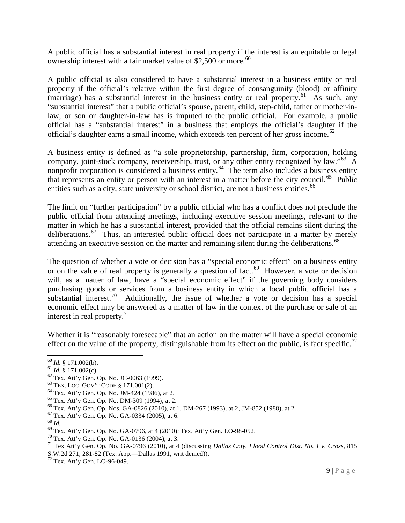A public official has a substantial interest in real property if the interest is an equitable or legal ownership interest with a fair market value of \$2,500 or more.<sup>[60](#page-8-0)</sup>

A public official is also considered to have a substantial interest in a business entity or real property if the official's relative within the first degree of consanguinity (blood) or affinity (marriage) has a substantial interest in the business entity or real property.<sup>61</sup> As such, any "substantial interest" that a public official's spouse, parent, child, step-child, father or mother-inlaw, or son or daughter-in-law has is imputed to the public official. For example, a public official has a "substantial interest" in a business that employs the official's daughter if the official's daughter earns a small income, which exceeds ten percent of her gross income.<sup>[62](#page-8-2)</sup>

A business entity is defined as "a sole proprietorship, partnership, firm, corporation, holding company, joint-stock company, receivership, trust, or any other entity recognized by law."<sup>63</sup> A nonprofit corporation is considered a business entity.<sup>[64](#page-8-4)</sup> The term also includes a business entity that represents an entity or person with an interest in a matter before the city council.<sup>65</sup> Public entities such as a city, state university or school district, are not a business entities.<sup>66</sup>

The limit on "further participation" by a public official who has a conflict does not preclude the public official from attending meetings, including executive session meetings, relevant to the matter in which he has a substantial interest, provided that the official remains silent during the deliberations.<sup>67</sup> Thus, an interested public official does not participate in a matter by merely attending an executive session on the matter and remaining silent during the deliberations.<sup>[68](#page-8-8)</sup>

The question of whether a vote or decision has a "special economic effect" on a business entity or on the value of real property is generally a question of fact.<sup>69</sup> However, a vote or decision will, as a matter of law, have a "special economic effect" if the governing body considers purchasing goods or services from a business entity in which a local public official has a substantial interest.<sup>70</sup> Additionally, the issue of whether a vote or decision has a special economic effect may be answered as a matter of law in the context of the purchase or sale of an interest in real property. $^{71}$ 

Whether it is "reasonably foreseeable" that an action on the matter will have a special economic effect on the value of the property, distinguishable from its effect on the public, is fact specific.<sup>[72](#page-8-12)</sup>

<span id="page-8-0"></span> $^{60}$  *Id.* § 171.002(b).<br><sup>61</sup> *Id.* § 171.002(c).

<span id="page-8-3"></span>

<span id="page-8-4"></span>

<span id="page-8-5"></span>

<span id="page-8-6"></span>

<span id="page-8-7"></span>

<span id="page-8-8"></span>

<span id="page-8-9"></span>

<span id="page-8-11"></span><span id="page-8-10"></span>

<span id="page-8-2"></span><span id="page-8-1"></span><sup>&</sup>lt;sup>61</sup> *Id.* § 171.002(c).<br><sup>62</sup> Tex. Att'y Gen. Op. No. JC-0063 (1999).<br><sup>63</sup> Tex. Loc. Gov'T CoDE § 171.001(2).<br><sup>64</sup> Tex. Att'y Gen. Op. No. JM-424 (1986), at 2.<br><sup>65</sup> Tex. Att'y Gen. Op. No. DM-309 (1994), at 2.<br><sup>67</sup> Tex. A S.W.2d 271, 281-82 (Tex. App.—Dallas 1991, writ denied)). 72 Tex. Att'y Gen. LO-96-049.

<span id="page-8-12"></span>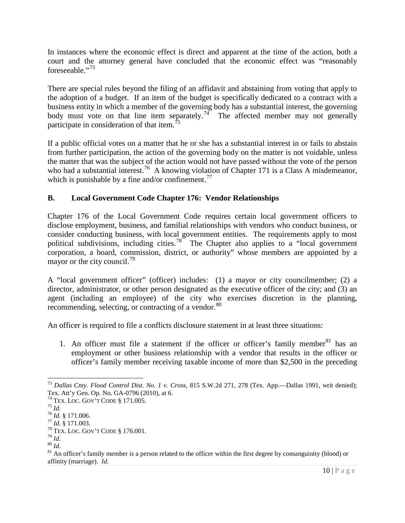In instances where the economic effect is direct and apparent at the time of the action, both a court and the attorney general have concluded that the economic effect was "reasonably foreseeable."[73](#page-9-0) 

There are special rules beyond the filing of an affidavit and abstaining from voting that apply to the adoption of a budget. If an item of the budget is specifically dedicated to a contract with a business entity in which a member of the governing body has a substantial interest, the governing body must vote on that line item separately.<sup>[74](#page-9-1)</sup> The affected member may not generally participate in consideration of that item.<sup>[75](#page-9-2)</sup>

If a public official votes on a matter that he or she has a substantial interest in or fails to abstain from further participation, the action of the governing body on the matter is not voidable, unless the matter that was the subject of the action would not have passed without the vote of the person who had a substantial interest.<sup>76</sup> A knowing violation of Chapter 171 is a Class A misdemeanor, which is punishable by a fine and/or confinement.<sup>[77](#page-9-4)</sup>

# **B. Local Government Code Chapter 176: Vendor Relationships**

Chapter 176 of the Local Government Code requires certain local government officers to disclose employment, business, and familial relationships with vendors who conduct business, or consider conducting business, with local government entities. The requirements apply to most political subdivisions, including cities.<sup>78</sup> The Chapter also applies to a "local government corporation, a board, commission, district, or authority" whose members are appointed by a mayor or the city council.<sup>[79](#page-9-6)</sup>

A "local government officer" (officer) includes: (1) a mayor or city councilmember; (2) a director, administrator, or other person designated as the executive officer of the city; and (3) an agent (including an employee) of the city who exercises discretion in the planning, recommending, selecting, or contracting of a vendor.<sup>[80](#page-9-7)</sup>

An officer is required to file a conflicts disclosure statement in at least three situations:

1. An officer must file a statement if the officer or officer's family member<sup>[81](#page-9-8)</sup> has an employment or other business relationship with a vendor that results in the officer or officer's family member receiving taxable income of more than \$2,500 in the preceding

<span id="page-9-0"></span><sup>73</sup> *Dallas Cnty. Flood Control Dist. No. 1 v. Cross*, 815 S.W.2d 271, 278 (Tex. App.—Dallas 1991, writ denied); Tex. Att'y Gen. Op. No. GA-0796 (2010), at 6.<br><sup>74</sup> Tex. Loc. Gov't Code § 171.005.

<span id="page-9-4"></span>

<span id="page-9-5"></span>

<span id="page-9-8"></span><span id="page-9-7"></span><span id="page-9-6"></span>

<span id="page-9-3"></span><span id="page-9-2"></span><span id="page-9-1"></span><sup>&</sup>lt;sup>75</sup> *Id.* § 171.006.<br>
<sup>76</sup> *Id.* § 171.006.<br>
<sup>77</sup> *Id.* § 171.003.<br>
<sup>78</sup> TEX. LOC. GOV'T CODE § 176.001.<br>
<sup>80</sup> *Id.*<br>
<sup>80</sup> *Id.*<br>
<sup>81</sup> An officer's family member is a person related to the officer within the first degree affinity (marriage). *Id.*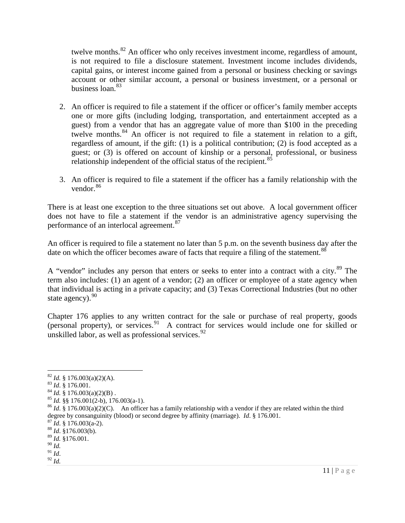twelve months.<sup>[82](#page-10-0)</sup> An officer who only receives investment income, regardless of amount, is not required to file a disclosure statement. Investment income includes dividends, capital gains, or interest income gained from a personal or business checking or savings account or other similar account, a personal or business investment, or a personal or business  $\alpha$ <sup>[83](#page-10-1)</sup>

- 2. An officer is required to file a statement if the officer or officer's family member accepts one or more gifts (including lodging, transportation, and entertainment accepted as a guest) from a vendor that has an aggregate value of more than \$100 in the preceding twelve months.  $84$  An officer is not required to file a statement in relation to a gift, regardless of amount, if the gift: (1) is a political contribution; (2) is food accepted as a guest; or (3) is offered on account of kinship or a personal, professional, or business relationship independent of the official status of the recipient.<sup>[85](#page-10-3)</sup>
- 3. An officer is required to file a statement if the officer has a family relationship with the vendor.<sup>[86](#page-10-4)</sup>

There is at least one exception to the three situations set out above. A local government officer does not have to file a statement if the vendor is an administrative agency supervising the performance of an interlocal agreement.<sup>[87](#page-10-5)</sup>

An officer is required to file a statement no later than 5 p.m. on the seventh business day after the date on which the officer becomes aware of facts that require a filing of the statement.<sup>[88](#page-10-6)</sup>

A "vendor" includes any person that enters or seeks to enter into a contract with a city.<sup>[89](#page-10-7)</sup> The term also includes: (1) an agent of a vendor; (2) an officer or employee of a state agency when that individual is acting in a private capacity; and (3) Texas Correctional Industries (but no other state agency).<sup>[90](#page-10-8)</sup>

Chapter 176 applies to any written contract for the sale or purchase of real property, goods (personal property), or services.[91](#page-10-9) A contract for services would include one for skilled or unskilled labor, as well as professional services.  $92$ 

- 
- <span id="page-10-2"></span>
- <span id="page-10-4"></span><span id="page-10-3"></span>

- <span id="page-10-5"></span>
- 
- <span id="page-10-6"></span><sup>89</sup> *Id.* §176.001.

<span id="page-10-10"></span><span id="page-10-9"></span>91 *Id*. 92 *Id.*

<span id="page-10-1"></span><span id="page-10-0"></span><sup>&</sup>lt;sup>82</sup> *Id.* § 176.003(a)(2)(A).<br><sup>83</sup> *Id.* § 176.001.<br><sup>84</sup> *Id.* § 176.003(a)(2)(B).<br><sup>85</sup> *Id.* § § 176.001(2-b), 176.003(a-1).<br><sup>85</sup> *Id.* § 176.003(a)(2)(C). An officer has a family relationship with a vendor if they are degree by consanguinity (blood) or second degree by affinity (marriage). *Id*. § 176.001. <sup>87</sup> *Id*. § 176.003(a-2). <sup>88</sup> *Id*. §176.003(b).

<span id="page-10-8"></span><span id="page-10-7"></span><sup>90</sup> *Id.*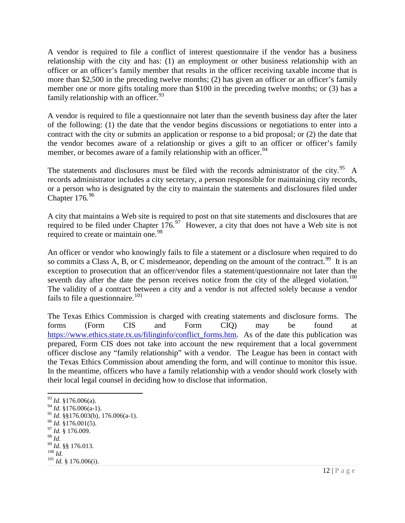A vendor is required to file a conflict of interest questionnaire if the vendor has a business relationship with the city and has: (1) an employment or other business relationship with an officer or an officer's family member that results in the officer receiving taxable income that is more than \$2,500 in the preceding twelve months; (2) has given an officer or an officer's family member one or more gifts totaling more than \$100 in the preceding twelve months; or (3) has a family relationship with an officer.<sup>[93](#page-11-0)</sup>

A vendor is required to file a questionnaire not later than the seventh business day after the later of the following: (1) the date that the vendor begins discussions or negotiations to enter into a contract with the city or submits an application or response to a bid proposal; or (2) the date that the vendor becomes aware of a relationship or gives a gift to an officer or officer's family member, or becomes aware of a family relationship with an officer.<sup>[94](#page-11-1)</sup>

The statements and disclosures must be filed with the records administrator of the city.<sup>[95](#page-11-2)</sup> A records administrator includes a city secretary, a person responsible for maintaining city records, or a person who is designated by the city to maintain the statements and disclosures filed under Chapter 176.<sup>[96](#page-11-3)</sup>

A city that maintains a Web site is required to post on that site statements and disclosures that are required to be filed under Chapter  $176<sup>97</sup>$  $176<sup>97</sup>$  $176<sup>97</sup>$  However, a city that does not have a Web site is not required to create or maintain one.<sup>[98](#page-11-5)</sup>

An officer or vendor who knowingly fails to file a statement or a disclosure when required to do so commits a Class A, B, or C misdemeanor, depending on the amount of the contract.<sup>[99](#page-11-6)</sup> It is an exception to prosecution that an officer/vendor files a statement/questionnaire not later than the seventh day after the date the person receives notice from the city of the alleged violation.<sup>[100](#page-11-7)</sup> The validity of a contract between a city and a vendor is not affected solely because a vendor fails to file a questionnaire.<sup>[101](#page-11-8)</sup>

The Texas Ethics Commission is charged with creating statements and disclosure forms. The forms (Form CIS and Form CIQ) may be found at [https://www.ethics.state.tx.us/filinginfo/conflict\\_forms.htm.](https://www.ethics.state.tx.us/filinginfo/conflict_forms.htm) As of the date this publication was prepared, Form CIS does not take into account the new requirement that a local government officer disclose any "family relationship" with a vendor. The League has been in contact with the Texas Ethics Commission about amending the form, and will continue to monitor this issue. In the meantime, officers who have a family relationship with a vendor should work closely with their local legal counsel in deciding how to disclose that information.

<span id="page-11-0"></span><sup>93</sup> *Id.* §176.006(a).

<span id="page-11-1"></span> $^{94}$  *Id.*  $\frac{8}{176.006(a-1)}$ .

<span id="page-11-3"></span><span id="page-11-2"></span><sup>&</sup>lt;sup>95</sup> *Id.* §§176.003(b), 176.006(a-1).<br><sup>96</sup> *Id.* §176.001(5).<br><sup>97</sup> *Id.* § 176.009.<br><sup>99</sup> *Id.* §§ 176.013. <sup>100</sup> *Id.* 8176.006(i).<br><sup>101</sup> *Id.* § 176.006(i).

<span id="page-11-4"></span>

<span id="page-11-5"></span>

<span id="page-11-6"></span>

<span id="page-11-8"></span><span id="page-11-7"></span>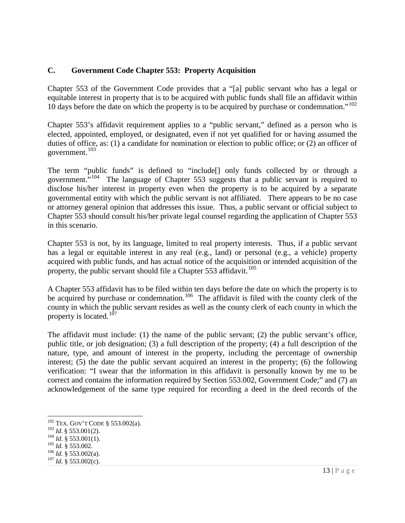## **C. Government Code Chapter 553: Property Acquisition**

Chapter 553 of the Government Code provides that a "[a] public servant who has a legal or equitable interest in property that is to be acquired with public funds shall file an affidavit within 10 days before the date on which the property is to be acquired by purchase or condemnation."<sup>102</sup>

Chapter 553's affidavit requirement applies to a "public servant," defined as a person who is elected, appointed, employed, or designated, even if not yet qualified for or having assumed the duties of office, as: (1) a candidate for nomination or election to public office; or (2) an officer of government.<sup>[103](#page-12-1)</sup>

The term "public funds" is defined to "include[] only funds collected by or through a government."<sup>[104](#page-12-2)</sup> The language of Chapter 553 suggests that a public servant is required to disclose his/her interest in property even when the property is to be acquired by a separate governmental entity with which the public servant is not affiliated. There appears to be no case or attorney general opinion that addresses this issue. Thus, a public servant or official subject to Chapter 553 should consult his/her private legal counsel regarding the application of Chapter 553 in this scenario.

Chapter 553 is not, by its language, limited to real property interests. Thus, if a public servant has a legal or equitable interest in any real (e.g., land) or personal (e.g., a vehicle) property acquired with public funds, and has actual notice of the acquisition or intended acquisition of the property, the public servant should file a Chapter 553 affidavit.<sup>105</sup>

A Chapter 553 affidavit has to be filed within ten days before the date on which the property is to be acquired by purchase or condemnation.<sup>106</sup> The affidavit is filed with the county clerk of the county in which the public servant resides as well as the county clerk of each county in which the property is located. $107$ 

The affidavit must include: (1) the name of the public servant; (2) the public servant's office, public title, or job designation; (3) a full description of the property; (4) a full description of the nature, type, and amount of interest in the property, including the percentage of ownership interest; (5) the date the public servant acquired an interest in the property; (6) the following verification: "I swear that the information in this affidavit is personally known by me to be correct and contains the information required by Section 553.002, Government Code;" and (7) an acknowledgement of the same type required for recording a deed in the deed records of the

<span id="page-12-1"></span><span id="page-12-0"></span><sup>102</sup> TEX. GOV'T CODE § 553.002(a).<br>
<sup>103</sup> *Id.* § 553.001(2).<br>
<sup>104</sup> *Id.* § 553.001(1).<br>
<sup>105</sup> *Id.* § 553.002.<br>
<sup>106</sup> *Id.* § 553.002(a).<br>
<sup>107</sup> *Id.* § 553.002(c).

<span id="page-12-2"></span>

<span id="page-12-3"></span>

<span id="page-12-4"></span>

<span id="page-12-5"></span>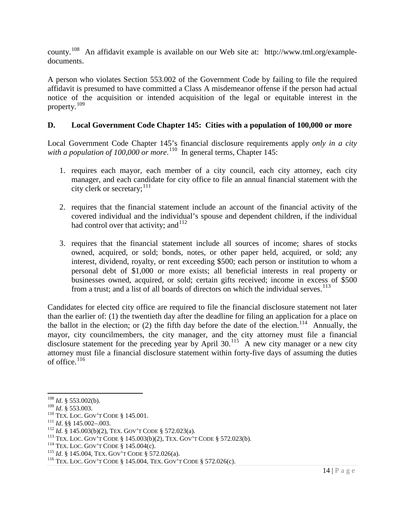county.[108](#page-13-0) An affidavit example is available on our Web site at: http://www.tml.org/exampledocuments.

A person who violates Section 553.002 of the Government Code by failing to file the required affidavit is presumed to have committed a Class A misdemeanor offense if the person had actual notice of the acquisition or intended acquisition of the legal or equitable interest in the property.[109](#page-13-1)

## **D. Local Government Code Chapter 145: Cities with a population of 100,000 or more**

Local Government Code Chapter 145's financial disclosure requirements apply *only in a city*  with a population of 100,000 or more.<sup>[110](#page-13-2)</sup> In general terms, Chapter 145:

- 1. requires each mayor, each member of a city council, each city attorney, each city manager, and each candidate for city office to file an annual financial statement with the city clerk or secretary;<sup>[111](#page-13-3)</sup>
- 2. requires that the financial statement include an account of the financial activity of the covered individual and the individual's spouse and dependent children, if the individual had control over that activity; and  $112$
- 3. requires that the financial statement include all sources of income; shares of stocks owned, acquired, or sold; bonds, notes, or other paper held, acquired, or sold; any interest, dividend, royalty, or rent exceeding \$500; each person or institution to whom a personal debt of \$1,000 or more exists; all beneficial interests in real property or businesses owned, acquired, or sold; certain gifts received; income in excess of \$500 from a trust; and a list of all boards of directors on which the individual serves. $113$

Candidates for elected city office are required to file the financial disclosure statement not later than the earlier of: (1) the twentieth day after the deadline for filing an application for a place on the ballot in the election; or (2) the fifth day before the date of the election.<sup>114</sup> Annually, the mayor, city councilmembers, the city manager, and the city attorney must file a financial disclosure statement for the preceding year by April 30.<sup>115</sup> A new city manager or a new city attorney must file a financial disclosure statement within forty-five days of assuming the duties of office. $116$ 

<span id="page-13-0"></span><sup>&</sup>lt;sup>108</sup> *Id.* § 553.002(b).<br><sup>109</sup> *Id.* § 553.003.

<span id="page-13-1"></span>

<span id="page-13-3"></span>

<span id="page-13-4"></span>

<span id="page-13-2"></span><sup>&</sup>lt;sup>110</sup> Tex. Loc. Gov't Code § 145.001.<br>
<sup>111</sup> *Id.* §§ 145.002–.003.<br>
<sup>112</sup> *Id.* § 145.003(b)(2), Tex. Gov't Code § 572.023(a).<br>
<sup>113</sup> Tex. Loc. Gov't Code § 145.003(b)(2), Tex. Gov't Code § 572.023(b).<br>
<sup>114</sup> Tex. Loc. G

<span id="page-13-6"></span><span id="page-13-5"></span>

<span id="page-13-7"></span>

<span id="page-13-8"></span>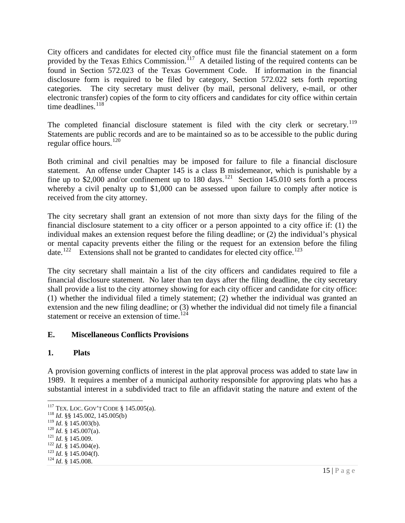City officers and candidates for elected city office must file the financial statement on a form provided by the Texas Ethics Commission.<sup>[117](#page-14-0)</sup> A detailed listing of the required contents can be found in Section 572.023 of the Texas Government Code. If information in the financial disclosure form is required to be filed by category, Section 572.022 sets forth reporting categories. The city secretary must deliver (by mail, personal delivery, e-mail, or other electronic transfer) copies of the form to city officers and candidates for city office within certain time deadlines.<sup>[118](#page-14-1)</sup>

The completed financial disclosure statement is filed with the city clerk or secretary.<sup>[119](#page-14-2)</sup> Statements are public records and are to be maintained so as to be accessible to the public during regular office hours. [120](#page-14-3)

Both criminal and civil penalties may be imposed for failure to file a financial disclosure statement. An offense under Chapter 145 is a class B misdemeanor, which is punishable by a fine up to \$2,000 and/or confinement up to 180 days.<sup>[121](#page-14-4)</sup> Section 145.010 sets forth a process whereby a civil penalty up to \$1,000 can be assessed upon failure to comply after notice is received from the city attorney.

The city secretary shall grant an extension of not more than sixty days for the filing of the financial disclosure statement to a city officer or a person appointed to a city office if: (1) the individual makes an extension request before the filing deadline; or (2) the individual's physical or mental capacity prevents either the filing or the request for an extension before the filing date.<sup>[122](#page-14-5)</sup> Extensions shall not be granted to candidates for elected city office.<sup>[123](#page-14-6)</sup>

The city secretary shall maintain a list of the city officers and candidates required to file a financial disclosure statement. No later than ten days after the filing deadline, the city secretary shall provide a list to the city attorney showing for each city officer and candidate for city office: (1) whether the individual filed a timely statement; (2) whether the individual was granted an extension and the new filing deadline; or (3) whether the individual did not timely file a financial statement or receive an extension of time.<sup>[124](#page-14-7)</sup>

#### **E. Miscellaneous Conflicts Provisions**

#### **1. Plats**

A provision governing conflicts of interest in the plat approval process was added to state law in 1989. It requires a member of a municipal authority responsible for approving plats who has a substantial interest in a subdivided tract to file an affidavit stating the nature and extent of the

<span id="page-14-7"></span><span id="page-14-6"></span>

<span id="page-14-1"></span><span id="page-14-0"></span><sup>&</sup>lt;sup>117</sup> TEX. LOC. GOV'T CODE § 145.005(a).<br><sup>118</sup> *Id.* §§ 145.002, 145.005(b)<br><sup>119</sup> *Id.* § 145.003(b).

<span id="page-14-4"></span>

<span id="page-14-5"></span>

<span id="page-14-3"></span><span id="page-14-2"></span><sup>120</sup> *Id.* § 145.007(a). 121 *Id.* § 145.009. 122 *Id.* § 145.004(e). 123 *Id.* § 145.004(f). 124 *Id.* § 145.008.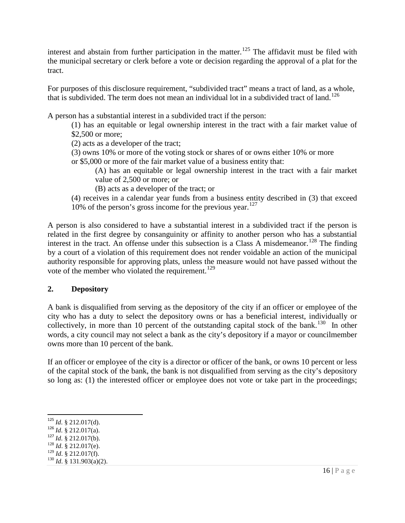interest and abstain from further participation in the matter.<sup>[125](#page-15-0)</sup> The affidavit must be filed with the municipal secretary or clerk before a vote or decision regarding the approval of a plat for the tract.

For purposes of this disclosure requirement, "subdivided tract" means a tract of land, as a whole, that is subdivided. The term does not mean an individual lot in a subdivided tract of land.<sup>[126](#page-15-1)</sup>

A person has a substantial interest in a subdivided tract if the person:

(1) has an equitable or legal ownership interest in the tract with a fair market value of \$2,500 or more;

(2) acts as a developer of the tract;

(3) owns 10% or more of the voting stock or shares of or owns either 10% or more or \$5,000 or more of the fair market value of a business entity that:

(A) has an equitable or legal ownership interest in the tract with a fair market value of 2,500 or more; or

(B) acts as a developer of the tract; or

(4) receives in a calendar year funds from a business entity described in (3) that exceed 10% of the person's gross income for the previous year.<sup>[127](#page-15-2)</sup>

A person is also considered to have a substantial interest in a subdivided tract if the person is related in the first degree by consanguinity or affinity to another person who has a substantial interest in the tract. An offense under this subsection is a Class A misdemeanor.<sup>[128](#page-15-3)</sup> The finding by a court of a violation of this requirement does not render voidable an action of the municipal authority responsible for approving plats, unless the measure would not have passed without the vote of the member who violated the requirement.<sup>[129](#page-15-4)</sup>

## **2. Depository**

A bank is disqualified from serving as the depository of the city if an officer or employee of the city who has a duty to select the depository owns or has a beneficial interest, individually or collectively, in more than 10 percent of the outstanding capital stock of the bank.<sup>[130](#page-15-5)</sup> In other words, a city council may not select a bank as the city's depository if a mayor or councilmember owns more than 10 percent of the bank.

If an officer or employee of the city is a director or officer of the bank, or owns 10 percent or less of the capital stock of the bank, the bank is not disqualified from serving as the city's depository so long as: (1) the interested officer or employee does not vote or take part in the proceedings;

- <span id="page-15-2"></span>
- 
- <span id="page-15-4"></span><span id="page-15-3"></span><sup>129</sup> *Id*. § 212.017(f). <sup>130</sup> *Id*. § 131.903(a)(2).
- <span id="page-15-5"></span>

<span id="page-15-1"></span><span id="page-15-0"></span><sup>125</sup> *Id*. § 212.017(d). <sup>126</sup> *Id*. § 212.017(a). <sup>127</sup> *Id*. § 212.017(b). <sup>128</sup> *Id*. § 212.017(e).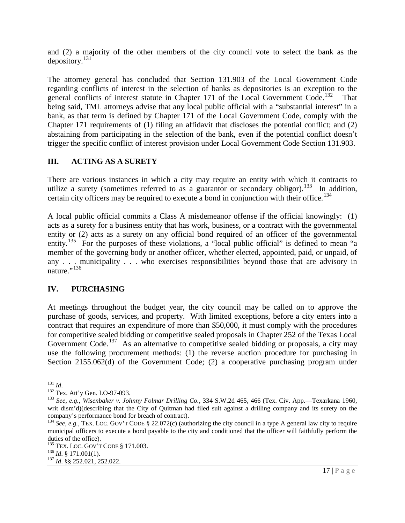and (2) a majority of the other members of the city council vote to select the bank as the depository.[131](#page-16-0)

The attorney general has concluded that Section 131.903 of the Local Government Code regarding conflicts of interest in the selection of banks as depositories is an exception to the general conflicts of interest statute in Chapter 171 of the Local Government Code.<sup>[132](#page-16-1)</sup> That being said, TML attorneys advise that any local public official with a "substantial interest" in a bank, as that term is defined by Chapter 171 of the Local Government Code, comply with the Chapter 171 requirements of (1) filing an affidavit that discloses the potential conflict; and (2) abstaining from participating in the selection of the bank, even if the potential conflict doesn't trigger the specific conflict of interest provision under Local Government Code Section 131.903.

## **III. ACTING AS A SURETY**

There are various instances in which a city may require an entity with which it contracts to utilize a surety (sometimes referred to as a guarantor or secondary obligor).<sup>133</sup> In addition, certain city officers may be required to execute a bond in conjunction with their office.<sup>[134](#page-16-3)</sup>

A local public official commits a Class A misdemeanor offense if the official knowingly: (1) acts as a surety for a business entity that has work, business, or a contract with the governmental entity or (2) acts as a surety on any official bond required of an officer of the governmental entity.<sup>[135](#page-16-4)</sup> For the purposes of these violations, a "local public official" is defined to mean "a member of the governing body or another officer, whether elected, appointed, paid, or unpaid, of any . . . municipality . . . who exercises responsibilities beyond those that are advisory in nature."<sup>[136](#page-16-5)</sup>

## **IV. PURCHASING**

At meetings throughout the budget year, the city council may be called on to approve the purchase of goods, services, and property. With limited exceptions, before a city enters into a contract that requires an expenditure of more than \$50,000, it must comply with the procedures for competitive sealed bidding or competitive sealed proposals in Chapter 252 of the Texas Local Government Code.<sup>[137](#page-16-6)</sup> As an alternative to competitive sealed bidding or proposals, a city may use the following procurement methods: (1) the reverse auction procedure for purchasing in Section 2155.062(d) of the Government Code; (2) a cooperative purchasing program under

<span id="page-16-0"></span><sup>&</sup>lt;sup>131</sup> *Id.* Tex. Att'y Gen. LO-97-093.

<span id="page-16-2"></span><span id="page-16-1"></span><sup>&</sup>lt;sup>133</sup> See, e.g., Wisenbaker v. Johnny Folmar Drilling Co., 334 S.W.2d 465, 466 (Tex. Civ. App.—Texarkana 1960, writ dism'd)(describing that the City of Quitman had filed suit against a drilling company and its surety on the company's performance bond for breach of contract).

<span id="page-16-3"></span><sup>&</sup>lt;sup>134</sup> See, e.g., TEX. LOC. GOV'T CODE § 22.072(c) (authorizing the city council in a type A general law city to require municipal officers to execute a bond payable to the city and conditioned that the officer will faithfully perform the duties of the office).

<span id="page-16-4"></span><sup>1&</sup>lt;sup>35</sup> TEX. LOC. GOV'T CODE § 171.003.<br><sup>136</sup> *Id.* § 171.001(1).<br><sup>137</sup> *Id.* §§ 252.021, 252.022.

<span id="page-16-5"></span>

<span id="page-16-6"></span>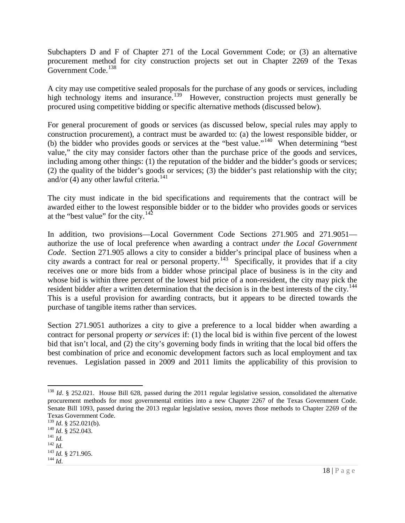Subchapters D and F of Chapter 271 of the Local Government Code; or (3) an alternative procurement method for city construction projects set out in Chapter 2269 of the Texas Government Code.<sup>[138](#page-17-0)</sup>

A city may use competitive sealed proposals for the purchase of any goods or services, including high technology items and insurance.<sup>[139](#page-17-1)</sup> However, construction projects must generally be procured using competitive bidding or specific alternative methods (discussed below).

For general procurement of goods or services (as discussed below, special rules may apply to construction procurement), a contract must be awarded to: (a) the lowest responsible bidder, or (b) the bidder who provides goods or services at the "best value."[140](#page-17-2) When determining "best value," the city may consider factors other than the purchase price of the goods and services, including among other things: (1) the reputation of the bidder and the bidder's goods or services; (2) the quality of the bidder's goods or services; (3) the bidder's past relationship with the city; and/or  $(4)$  any other lawful criteria.<sup>[141](#page-17-3)</sup>

The city must indicate in the bid specifications and requirements that the contract will be awarded either to the lowest responsible bidder or to the bidder who provides goods or services at the "best value" for the city. $142$ 

In addition, two provisions—Local Government Code Sections 271.905 and 271.9051 authorize the use of local preference when awarding a contract *under the Local Government Code*. Section 271.905 allows a city to consider a bidder's principal place of business when a city awards a contract for real or personal property.<sup>[143](#page-17-5)</sup> Specifically, it provides that if a city receives one or more bids from a bidder whose principal place of business is in the city and whose bid is within three percent of the lowest bid price of a non-resident, the city may pick the resident bidder after a written determination that the decision is in the best interests of the city.<sup>[144](#page-17-6)</sup> This is a useful provision for awarding contracts, but it appears to be directed towards the purchase of tangible items rather than services.

Section 271.9051 authorizes a city to give a preference to a local bidder when awarding a contract for personal property *or services* if: (1) the local bid is within five percent of the lowest bid that isn't local, and (2) the city's governing body finds in writing that the local bid offers the best combination of price and economic development factors such as local employment and tax revenues. Legislation passed in 2009 and 2011 limits the applicability of this provision to

<span id="page-17-0"></span><sup>&</sup>lt;sup>138</sup> *Id.* § 252.021. House Bill 628, passed during the 2011 regular legislative session, consolidated the alternative procurement methods for most governmental entities into a new Chapter 2267 of the Texas Government Code. Senate Bill 1093, passed during the 2013 regular legislative session, moves those methods to Chapter 2269 of the Texas Government Code.<br> $^{139}$  *Id.* § 252.021(b).

<span id="page-17-3"></span><span id="page-17-2"></span><span id="page-17-1"></span><sup>139</sup> *Id*. § 252.021(b). <sup>140</sup> *Id*. § 252.043. <sup>141</sup> *Id.* <sup>142</sup> *Id.* <sup>143</sup> *Id.* § 271.905. <sup>144</sup> *Id*.

<span id="page-17-4"></span>

<span id="page-17-6"></span><span id="page-17-5"></span>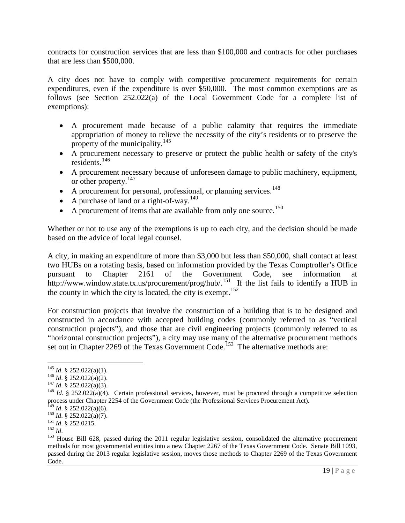contracts for construction services that are less than \$100,000 and contracts for other purchases that are less than \$500,000.

A city does not have to comply with competitive procurement requirements for certain expenditures, even if the expenditure is over \$50,000. The most common exemptions are as follows (see Section 252.022(a) of the Local Government Code for a complete list of exemptions):

- A procurement made because of a public calamity that requires the immediate appropriation of money to relieve the necessity of the city's residents or to preserve the property of the municipality.<sup>[145](#page-18-0)</sup>
- A procurement necessary to preserve or protect the public health or safety of the city's residents. [146](#page-18-1)
- A procurement necessary because of unforeseen damage to public machinery, equipment, or other property.<sup>[147](#page-18-2)</sup>
- A procurement for personal, professional, or planning services.<sup>[148](#page-18-3)</sup>  $\frac{148}{149}$  $\frac{148}{149}$  $\frac{148}{149}$  or planning services.<sup>148</sup>
- A purchase of land or a right-of-way.<sup>149</sup>
- A purchase of land or a right-of-way.<sup>149</sup><br>• A procurement of items that are available from only one source.<sup>[150](#page-18-5)</sup>

Whether or not to use any of the exemptions is up to each city, and the decision should be made based on the advice of local legal counsel.

A city, in making an expenditure of more than \$3,000 but less than \$50,000, shall contact at least two HUBs on a rotating basis, based on information provided by the Texas Comptroller's Office pursuant to Chapter 2161 of the Government Code, see information at http://www.window.state.tx.us/procurement/prog/hub/.<sup>[151](#page-18-6)</sup> If the list fails to identify a HUB in the county in which the city is located, the city is exempt.<sup>[152](#page-18-7)</sup>

For construction projects that involve the construction of a building that is to be designed and constructed in accordance with accepted building codes (commonly referred to as "vertical construction projects"), and those that are civil engineering projects (commonly referred to as "horizontal construction projects"), a city may use many of the alternative procurement methods set out in Chapter 2269 of the Texas Government Code.<sup>[153](#page-18-8)</sup> The alternative methods are:

<span id="page-18-0"></span><sup>&</sup>lt;sup>145</sup> *Id.* § 252.022(a)(1).<br><sup>146</sup> *Id.* § 252.022(a)(2).

<span id="page-18-3"></span><span id="page-18-2"></span><span id="page-18-1"></span><sup>&</sup>lt;sup>147</sup> *Id*. § 252.022(a)(3).<br><sup>148</sup> *Id*. § 252.022(a)(4). Certain professional services, however, must be procured through a competitive selection process under Chapter 2254 of the Government Code (the Professional Services Procurement Act).<br><sup>149</sup> Id. § 252.022(a)(6).

<span id="page-18-8"></span><span id="page-18-7"></span>

<span id="page-18-6"></span><span id="page-18-5"></span><span id="page-18-4"></span><sup>150</sup> *Id*. § 252.022(a)(7).<br>
<sup>151</sup> *Id*. § 252.022(a)(7).<br>
<sup>151</sup> *Id*. § 252.0215.<br>
<sup>152</sup> *Id*.<br>
<sup>152</sup> *Id*. 152 *Id*.<br>
<sup>153</sup> House Bill 628, passed during the 2011 regular legislative session, consolidated the alternative methods for most governmental entities into a new Chapter 2267 of the Texas Government Code. Senate Bill 1093, passed during the 2013 regular legislative session, moves those methods to Chapter 2269 of the Texas Government Code.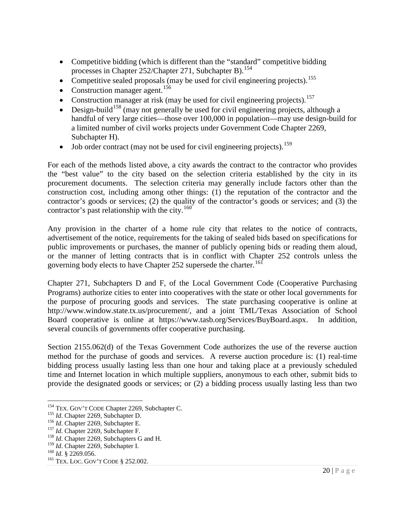- Competitive bidding (which is different than the "standard" competitive bidding processes in Chapter 252/Chapter 271, Subchapter B).<sup>[154](#page-19-0)</sup>
- processes in Chapter 252/Chapter 271, Subchapter B).  $154$ <br>• Competitive sealed proposals (may be used for civil engineering projects).  $155$ s (may be used for civil engineering projects).  $155$ <br> $156$
- Construction manager agent.  $156$
- Construction manager agent.<sup>150</sup><br>• Construction manager at risk (may be used for civil engineering projects).<sup>[157](#page-19-3)</sup> manager at risk (may be used for civil engineering projects).<sup>157</sup><br><sup>[158](#page-19-4)</sup> (may not generally be used for civil engineering projects) elt
- Design-build<sup>158</sup> (may not generally be used for civil engineering projects, although a handful of very large cities—those over 100,000 in population—may use design-build for a limited number of civil works projects under Government Code Chapter 2269, Subchapter H).
- Job order contract (may not be used for civil engineering projects).<sup>159</sup>

For each of the methods listed above, a city awards the contract to the contractor who provides the "best value" to the city based on the selection criteria established by the city in its procurement documents. The selection criteria may generally include factors other than the construction cost, including among other things: (1) the reputation of the contractor and the contractor's goods or services; (2) the quality of the contractor's goods or services; and (3) the contractor's past relationship with the city.<sup>[160](#page-19-6)</sup>

Any provision in the charter of a home rule city that relates to the notice of contracts, advertisement of the notice, requirements for the taking of sealed bids based on specifications for public improvements or purchases, the manner of publicly opening bids or reading them aloud, or the manner of letting contracts that is in conflict with Chapter 252 controls unless the governing body elects to have Chapter 252 supersede the charter.<sup>16f</sup>

Chapter 271, Subchapters D and F, of the Local Government Code (Cooperative Purchasing Programs) authorize cities to enter into cooperatives with the state or other local governments for the purpose of procuring goods and services. The state purchasing cooperative is online at http://www.window.state.tx.us/procurement/, and a joint TML/Texas Association of School Board cooperative is online at https://www.tasb.org/Services/BuyBoard.aspx. In addition, several councils of governments offer cooperative purchasing.

Section 2155.062(d) of the Texas Government Code authorizes the use of the reverse auction method for the purchase of goods and services. A reverse auction procedure is: (1) real-time bidding process usually lasting less than one hour and taking place at a previously scheduled time and Internet location in which multiple suppliers, anonymous to each other, submit bids to provide the designated goods or services; or (2) a bidding process usually lasting less than two

<span id="page-19-1"></span><span id="page-19-0"></span><sup>&</sup>lt;sup>154</sup> TEX. GOV'T CODE Chapter 2269, Subchapter C.<br><sup>155</sup> *Id.* Chapter 2269, Subchapter D.<br><sup>156</sup> *Id.* Chapter 2269, Subchapter E.<br><sup>157</sup> *Id.* Chapter 2269, Subchapter F.<br><sup>158</sup> *Id.* Chapter 2269, Subchapters G and H.

<span id="page-19-2"></span>

<span id="page-19-3"></span>

<span id="page-19-5"></span><span id="page-19-4"></span><sup>&</sup>lt;sup>159</sup> *Id*. Chapter 2269, Subchapter I.<br><sup>160</sup> *Id*. § 2269.056.<br><sup>161</sup> TEX. LOC. GOV'T CODE § 252.002.

<span id="page-19-6"></span>

<span id="page-19-7"></span>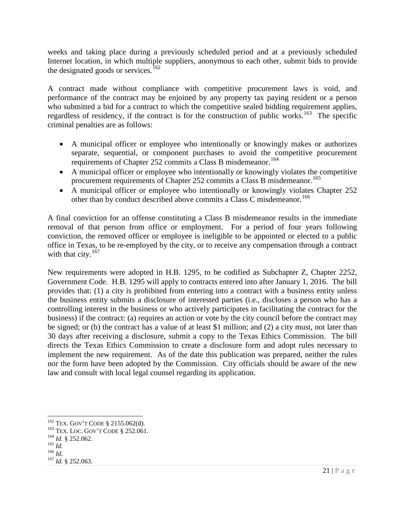weeks and taking place during a previously scheduled period and at a previously scheduled Internet location, in which multiple suppliers, anonymous to each other, submit bids to provide the designated goods or services.<sup>[162](#page-20-0)</sup>

A contract made without compliance with competitive procurement laws is void, and performance of the contract may be enjoined by any property tax paying resident or a person who submitted a bid for a contract to which the competitive sealed bidding requirement applies, regardless of residency, if the contract is for the construction of public works.<sup>163</sup> The specific criminal penalties are as follows:

- A municipal officer or employee who intentionally or knowingly makes or authorizes separate, sequential, or component purchases to avoid the competitive procurement requirements of Chapter 252 commits a Class B misdemeanor.<sup>[164](#page-20-2)</sup>
- A municipal officer or employee who intentionally or knowingly violates the competitive procurement requirements of Chapter 252 commits a Class B misdemeanor.<sup>[165](#page-20-3)</sup>
- A municipal officer or employee who intentionally or knowingly violates Chapter 252 other than by conduct described above commits a Class C misdemeanor.<sup>166</sup>

A final conviction for an offense constituting a Class B misdemeanor results in the immediate removal of that person from office or employment. For a period of four years following conviction, the removed officer or employee is ineligible to be appointed or elected to a public office in Texas, to be re-employed by the city, or to receive any compensation through a contract with that city. $167$ 

New requirements were adopted in H.B. 1295, to be codified as Subchapter Z, Chapter 2252, Government Code. H.B. 1295 will apply to contracts entered into after January 1, 2016. The bill provides that: (1) a city is prohibited from entering into a contract with a business entity unless the business entity submits a disclosure of interested parties (i.e., discloses a person who has a controlling interest in the business or who actively participates in facilitating the contract for the business) if the contract: (a) requires an action or vote by the city council before the contract may be signed; or (b) the contract has a value of at least \$1 million; and (2) a city must, not later than 30 days after receiving a disclosure, submit a copy to the Texas Ethics Commission. The bill directs the Texas Ethics Commission to create a disclosure form and adopt rules necessary to implement the new requirement. As of the date this publication was prepared, neither the rules nor the form have been adopted by the Commission. City officials should be aware of the new law and consult with local legal counsel regarding its application.

<span id="page-20-1"></span><span id="page-20-0"></span><sup>&</sup>lt;sup>162</sup> TEX. GOV'T CODE § 2155.062(d).<br><sup>163</sup> TEX. LOC. GOV'T CODE § 252.061.<br><sup>164</sup> *Id.* § 252.062.<br><sup>165</sup> *Id.* <sup>167</sup> *Id.* § 252.063.

<span id="page-20-2"></span>

<span id="page-20-3"></span>

<span id="page-20-4"></span>

<span id="page-20-5"></span>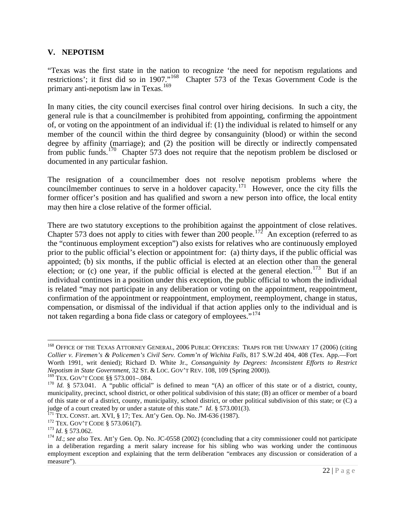#### **V. NEPOTISM**

"Texas was the first state in the nation to recognize 'the need for nepotism regulations and restrictions'; it first did so in 1907."<sup>168</sup> Chapter 573 of the Texas Government Code is the Chapter 573 of the Texas Government Code is the primary anti-nepotism law in Texas.<sup>[169](#page-21-1)</sup>

In many cities, the city council exercises final control over hiring decisions. In such a city, the general rule is that a councilmember is prohibited from appointing, confirming the appointment of, or voting on the appointment of an individual if: (1) the individual is related to himself or any member of the council within the third degree by consanguinity (blood) or within the second degree by affinity (marriage); and (2) the position will be directly or indirectly compensated from public funds.<sup>[170](#page-21-2)</sup> Chapter 573 does not require that the nepotism problem be disclosed or documented in any particular fashion.

The resignation of a councilmember does not resolve nepotism problems where the councilmember continues to serve in a holdover capacity.<sup>171</sup> However, once the city fills the former officer's position and has qualified and sworn a new person into office, the local entity may then hire a close relative of the former official.

There are two statutory exceptions to the prohibition against the appointment of close relatives. Chapter 573 does not apply to cities with fewer than 200 people.<sup>172</sup> An exception (referred to as the "continuous employment exception") also exists for relatives who are continuously employed prior to the public official's election or appointment for: (a) thirty days, if the public official was appointed; (b) six months, if the public official is elected at an election other than the general election; or (c) one year, if the public official is elected at the general election.<sup>[173](#page-21-5)</sup> But if an individual continues in a position under this exception, the public official to whom the individual is related "may not participate in any deliberation or voting on the appointment, reappointment, confirmation of the appointment or reappointment, employment, reemployment, change in status, compensation, or dismissal of the individual if that action applies only to the individual and is not taken regarding a bona fide class or category of employees."<sup>[174](#page-21-6)</sup>

<span id="page-21-0"></span><sup>&</sup>lt;sup>168</sup> OFFICE OF THE TEXAS ATTORNEY GENERAL, 2006 PUBLIC OFFICERS: TRAPS FOR THE UNWARY 17 (2006) (citing *Collier v. Firemen's & Policemen's Civil Serv. Comm'n of Wichita Falls*, 817 S.W.2d 404, 408 (Tex. App.—Fort Worth 1991, writ denied); Richard D. White Jr., *Consanguinity by Degrees: Inconsistent Efforts to Restrict Nepotism in State Government*, 32 ST. & LOC. GOV'T REV. 108, 109 (Spring 2000)).<br><sup>169</sup> TEX. GOV'T CODE §§ 573.001–.084.

<span id="page-21-1"></span>

<span id="page-21-2"></span><sup>&</sup>lt;sup>170</sup> Id. § 573.041. A "public official" is defined to mean "(A) an officer of this state or of a district, county, municipality, precinct, school district, or other political subdivision of this state; (B) an officer or member of a board of this state or of a district, county, municipality, school district, or other political subdivision of this state; or (C) a

<span id="page-21-4"></span>

<span id="page-21-6"></span><span id="page-21-5"></span>

<span id="page-21-3"></span>judge of a court created by or under a statute of this state." *Id.* § 573.001(3).<br><sup>171</sup> TEX. CONST. art. XVI, § 17; Tex. Att'y Gen. Op. No. JM-636 (1987).<br><sup>172</sup> TEX. GOV'T CODE § 573.061(7).<br><sup>173</sup> Id. § 573.062.<br><sup>174</sup> Id in a deliberation regarding a merit salary increase for his sibling who was working under the continuous employment exception and explaining that the term deliberation "embraces any discussion or consideration of a measure").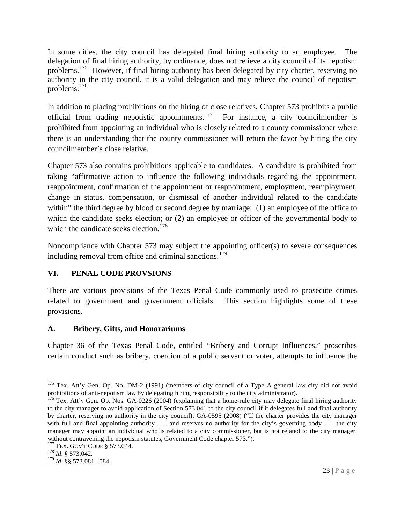In some cities, the city council has delegated final hiring authority to an employee. The delegation of final hiring authority, by ordinance, does not relieve a city council of its nepotism problems.[175](#page-22-0) However, if final hiring authority has been delegated by city charter, reserving no authority in the city council, it is a valid delegation and may relieve the council of nepotism problems.[176](#page-22-1)

In addition to placing prohibitions on the hiring of close relatives, Chapter 573 prohibits a public official from trading nepotistic appointments.<sup>[177](#page-22-2)</sup> For instance, a city councilmember is prohibited from appointing an individual who is closely related to a county commissioner where there is an understanding that the county commissioner will return the favor by hiring the city councilmember's close relative.

Chapter 573 also contains prohibitions applicable to candidates. A candidate is prohibited from taking "affirmative action to influence the following individuals regarding the appointment, reappointment, confirmation of the appointment or reappointment, employment, reemployment, change in status, compensation, or dismissal of another individual related to the candidate within" the third degree by blood or second degree by marriage: (1) an employee of the office to which the candidate seeks election; or (2) an employee or officer of the governmental body to which the candidate seeks election.<sup>[178](#page-22-3)</sup>

Noncompliance with Chapter 573 may subject the appointing officer(s) to severe consequences including removal from office and criminal sanctions.<sup>[179](#page-22-4)</sup>

# **VI. PENAL CODE PROVSIONS**

There are various provisions of the Texas Penal Code commonly used to prosecute crimes related to government and government officials. This section highlights some of these provisions.

# **A. Bribery, Gifts, and Honorariums**

Chapter 36 of the Texas Penal Code, entitled "Bribery and Corrupt Influences," proscribes certain conduct such as bribery, coercion of a public servant or voter, attempts to influence the

<span id="page-22-0"></span><sup>&</sup>lt;sup>175</sup> Tex. Att'y Gen. Op. No. DM-2 (1991) (members of city council of a Type A general law city did not avoid prohibitions of anti-nepotism law by delegating hiring responsibility to the city administrator).<br><sup>176</sup> Tex. Att'y Gen. Op. Nos. GA-0226 (2004) (explaining that a home-rule city may delegate final hiring authority

<span id="page-22-1"></span>to the city manager to avoid application of Section 573.041 to the city council if it delegates full and final authority by charter, reserving no authority in the city council); GA-0595 (2008) ("If the charter provides the city manager with full and final appointing authority . . . and reserves no authority for the city's governing body . . . the city manager may appoint an individual who is related to a city commissioner, but is not related to the city manager, without contravening the nepotism statutes, Government Code chapter 573.").

<span id="page-22-3"></span><span id="page-22-2"></span><sup>177</sup> TEX. GOV'T CODE § 573.044. <sup>178</sup> *Id*. § 573.042.

<span id="page-22-4"></span><sup>179</sup> *Id.* §§ 573.081–.084.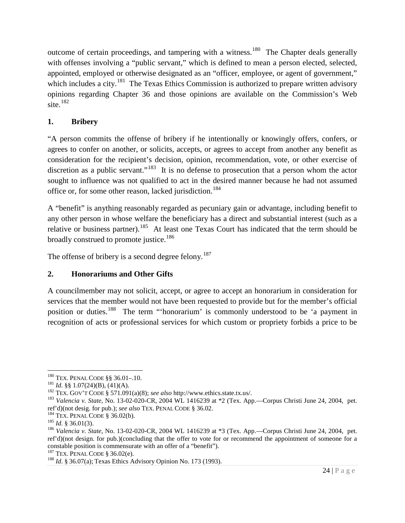outcome of certain proceedings, and tampering with a witness.<sup>180</sup> The Chapter deals generally with offenses involving a "public servant," which is defined to mean a person elected, selected, appointed, employed or otherwise designated as an "officer, employee, or agent of government," which includes a city.<sup>[181](#page-23-1)</sup> The Texas Ethics Commission is authorized to prepare written advisory opinions regarding Chapter 36 and those opinions are available on the Commission's Web site. [182](#page-23-2)

# **1. Bribery**

"A person commits the offense of bribery if he intentionally or knowingly offers, confers, or agrees to confer on another, or solicits, accepts, or agrees to accept from another any benefit as consideration for the recipient's decision, opinion, recommendation, vote, or other exercise of discretion as a public servant."<sup>[183](#page-23-3)</sup> It is no defense to prosecution that a person whom the actor sought to influence was not qualified to act in the desired manner because he had not assumed office or, for some other reason, lacked jurisdiction.<sup>[184](#page-23-4)</sup>

A "benefit" is anything reasonably regarded as pecuniary gain or advantage, including benefit to any other person in whose welfare the beneficiary has a direct and substantial interest (such as a relative or business partner).<sup>[185](#page-23-5)</sup> At least one Texas Court has indicated that the term should be broadly construed to promote justice.<sup>[186](#page-23-6)</sup>

The offense of bribery is a second degree felony.<sup>[187](#page-23-7)</sup>

# **2. Honorariums and Other Gifts**

A councilmember may not solicit, accept, or agree to accept an honorarium in consideration for services that the member would not have been requested to provide but for the member's official position or duties.<sup>[188](#page-23-8)</sup> The term "'honorarium' is commonly understood to be 'a payment in recognition of acts or professional services for which custom or propriety forbids a price to be

<span id="page-23-0"></span><sup>&</sup>lt;sup>180</sup> TEX. PENAL CODE §§ 36.01-.10.<br><sup>181</sup> *Id.* §§ 1.07(24)(B), (41)(A).

<span id="page-23-3"></span><span id="page-23-2"></span><span id="page-23-1"></span><sup>&</sup>lt;sup>182</sup> TEX. GOV'T CODE § 571.091(a)(8); *see also* http://www.ethics.state.tx.us/.<br><sup>183</sup> Valencia v. *State*, No. 13-02-020-CR, 2004 WL 1416239 at \*2 (Tex. App.—Corpus Christi June 24, 2004, pet.<br>ref'd)(not desig. for pub.

<span id="page-23-6"></span>

<span id="page-23-5"></span><span id="page-23-4"></span><sup>&</sup>lt;sup>184</sup> TEX. PENAL CODE § 36.02(b).<br><sup>185</sup> *Id.* § 36.01(3).<br><sup>185</sup> *Id.* § 36.01(3).<br><sup>186</sup> *Valencia v. State*, No. 13-02-020-CR, 2004 WL 1416239 at \*3 (Tex. App.—Corpus Christi June 24, 2004, pet. ref'd)(not design. for pub.)(concluding that the offer to vote for or recommend the appointment of someone for a constable position is commensurate with an offer of a "benefit").<br><sup>187</sup> TEX. PENAL CODE § 36.02(e).

<span id="page-23-7"></span>

<span id="page-23-8"></span><sup>&</sup>lt;sup>188</sup> Id. § 36.07(a); Texas Ethics Advisory Opinion No. 173 (1993).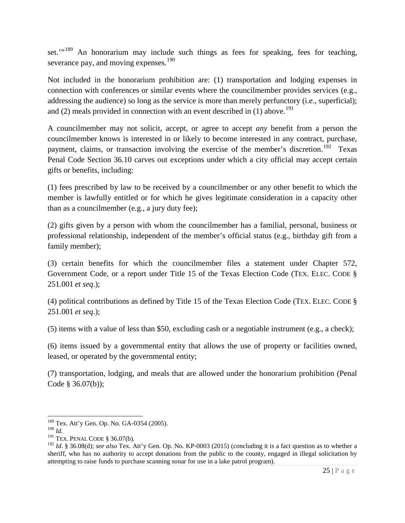set."<sup>[189](#page-24-0)</sup> An honorarium may include such things as fees for speaking, fees for teaching, severance pay, and moving expenses.<sup>[190](#page-24-1)</sup>

Not included in the honorarium prohibition are: (1) transportation and lodging expenses in connection with conferences or similar events where the councilmember provides services (e.g., addressing the audience) so long as the service is more than merely perfunctory (i.e., superficial); and (2) meals provided in connection with an event described in (1) above.<sup>[191](#page-24-2)</sup>

A councilmember may not solicit, accept, or agree to accept *any* benefit from a person the councilmember knows is interested in or likely to become interested in any contract, purchase, payment, claims, or transaction involving the exercise of the member's discretion.<sup>[192](#page-24-3)</sup> Texas Penal Code Section 36.10 carves out exceptions under which a city official may accept certain gifts or benefits, including:

(1) fees prescribed by law to be received by a councilmember or any other benefit to which the member is lawfully entitled or for which he gives legitimate consideration in a capacity other than as a councilmember (e.g., a jury duty fee);

(2) gifts given by a person with whom the councilmember has a familial, personal, business or professional relationship, independent of the member's official status (e.g., birthday gift from a family member);

(3) certain benefits for which the councilmember files a statement under Chapter 572, Government Code, or a report under Title 15 of the Texas Election Code (TEX. ELEC. CODE § 251.001 *et seq*.);

(4) political contributions as defined by Title 15 of the Texas Election Code (TEX. ELEC. CODE § 251.001 *et seq*.);

(5) items with a value of less than \$50, excluding cash or a negotiable instrument (e.g., a check);

(6) items issued by a governmental entity that allows the use of property or facilities owned, leased, or operated by the governmental entity;

(7) transportation, lodging, and meals that are allowed under the honorarium prohibition (Penal Code § 36.07(b));

<span id="page-24-0"></span><sup>&</sup>lt;sup>189</sup> Tex. Att'y Gen. Op. No. GA-0354 (2005).<br><sup>190</sup> Id

<span id="page-24-3"></span><span id="page-24-2"></span><span id="page-24-1"></span><sup>&</sup>lt;sup>191</sup> TEX. PENAL CODE § 36.07(b).<br><sup>192</sup> *Id*. § 36.08(d); *see also* Tex. Att'y Gen. Op. No. KP-0003 (2015) (concluding it is a fact question as to whether a sheriff, who has no authority to accept donations from the public to the county, engaged in illegal solicitation by attempting to raise funds to purchase scanning sonar for use in a lake patrol program).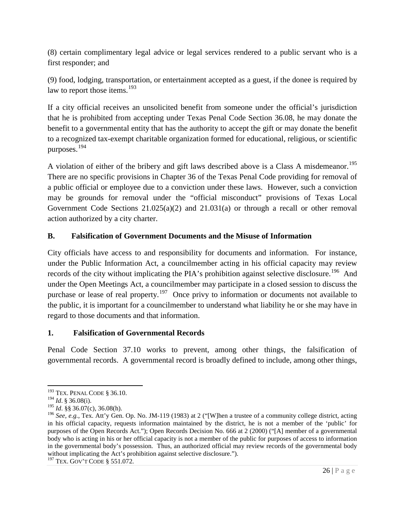(8) certain complimentary legal advice or legal services rendered to a public servant who is a first responder; and

(9) food, lodging, transportation, or entertainment accepted as a guest, if the donee is required by law to report those items.<sup>[193](#page-25-0)</sup>

If a city official receives an unsolicited benefit from someone under the official's jurisdiction that he is prohibited from accepting under Texas Penal Code Section 36.08, he may donate the benefit to a governmental entity that has the authority to accept the gift or may donate the benefit to a recognized tax-exempt charitable organization formed for educational, religious, or scientific purposes.<sup>[194](#page-25-1)</sup>

A violation of either of the bribery and gift laws described above is a Class A misdemeanor.<sup>[195](#page-25-2)</sup> There are no specific provisions in Chapter 36 of the Texas Penal Code providing for removal of a public official or employee due to a conviction under these laws. However, such a conviction may be grounds for removal under the "official misconduct" provisions of Texas Local Government Code Sections  $21.025(a)(2)$  and  $21.031(a)$  or through a recall or other removal action authorized by a city charter.

# **B. Falsification of Government Documents and the Misuse of Information**

City officials have access to and responsibility for documents and information. For instance, under the Public Information Act, a councilmember acting in his official capacity may review records of the city without implicating the PIA's prohibition against selective disclosure.<sup>[196](#page-25-3)</sup> And under the Open Meetings Act, a councilmember may participate in a closed session to discuss the purchase or lease of real property.<sup>[197](#page-25-4)</sup> Once privy to information or documents not available to the public, it is important for a councilmember to understand what liability he or she may have in regard to those documents and that information.

## **1. Falsification of Governmental Records**

Penal Code Section 37.10 works to prevent, among other things, the falsification of governmental records. A governmental record is broadly defined to include, among other things,

<sup>193</sup> TEX. PENAL CODE § 36.10.

<span id="page-25-1"></span><span id="page-25-0"></span><sup>&</sup>lt;sup>194</sup> *Id.* § 36.08(i).<br><sup>195</sup> *Id.* §§ 36.07(c), 36.08(h).

<span id="page-25-3"></span><span id="page-25-2"></span><sup>&</sup>lt;sup>196</sup> *See, e.g.*, Tex. Att'y Gen. Op. No. JM-119 (1983) at 2 ("[W]hen a trustee of a community college district, acting in his official capacity, requests information maintained by the district, he is not a member of the 'public' for purposes of the Open Records Act."); Open Records Decision No. 666 at 2 (2000) ("[A] member of a governmental body who is acting in his or her official capacity is not a member of the public for purposes of access to information in the governmental body's possession. Thus, an authorized official may review records of the governmental body without implicating the Act's prohibition against selective disclosure.").

<span id="page-25-4"></span><sup>197</sup> TEX. GOV'T CODE § 551.072.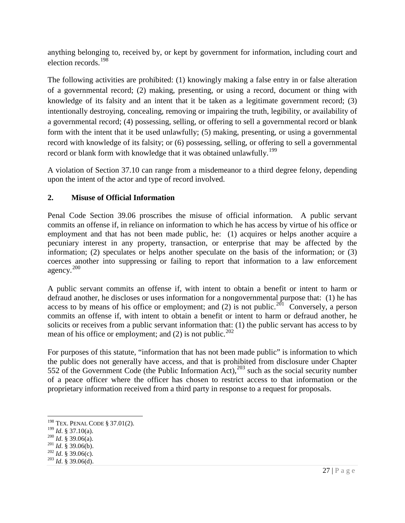anything belonging to, received by, or kept by government for information, including court and election records.[198](#page-26-0)

The following activities are prohibited: (1) knowingly making a false entry in or false alteration of a governmental record; (2) making, presenting, or using a record, document or thing with knowledge of its falsity and an intent that it be taken as a legitimate government record; (3) intentionally destroying, concealing, removing or impairing the truth, legibility, or availability of a governmental record; (4) possessing, selling, or offering to sell a governmental record or blank form with the intent that it be used unlawfully; (5) making, presenting, or using a governmental record with knowledge of its falsity; or (6) possessing, selling, or offering to sell a governmental record or blank form with knowledge that it was obtained unlawfully.<sup>[199](#page-26-1)</sup>

A violation of Section 37.10 can range from a misdemeanor to a third degree felony, depending upon the intent of the actor and type of record involved.

# **2. Misuse of Official Information**

Penal Code Section 39.06 proscribes the misuse of official information. A public servant commits an offense if, in reliance on information to which he has access by virtue of his office or employment and that has not been made public, he: (1) acquires or helps another acquire a pecuniary interest in any property, transaction, or enterprise that may be affected by the information; (2) speculates or helps another speculate on the basis of the information; or (3) coerces another into suppressing or failing to report that information to a law enforcement agency.[200](#page-26-2) 

A public servant commits an offense if, with intent to obtain a benefit or intent to harm or defraud another, he discloses or uses information for a nongovernmental purpose that: (1) he has access to by means of his office or employment; and (2) is not public.<sup>201</sup> Conversely, a person commits an offense if, with intent to obtain a benefit or intent to harm or defraud another, he solicits or receives from a public servant information that: (1) the public servant has access to by mean of his office or employment; and (2) is not public.<sup>[202](#page-26-4)</sup>

For purposes of this statute, "information that has not been made public" is information to which the public does not generally have access, and that is prohibited from disclosure under Chapter 552 of the Government Code (the Public Information Act),  $^{203}$  $^{203}$  $^{203}$  such as the social security number of a peace officer where the officer has chosen to restrict access to that information or the proprietary information received from a third party in response to a request for proposals.

<span id="page-26-0"></span><sup>&</sup>lt;sup>198</sup> TEX. PENAL CODE § 37.01(2).<br><sup>199</sup> Id. § 37.10(a).

<span id="page-26-2"></span><span id="page-26-1"></span><sup>199</sup> *Id*. § 37.10(a). <sup>200</sup> *Id*. § 39.06(a). <sup>201</sup> *Id*. § 39.06(b). <sup>202</sup> *Id*. § 39.06(c). <sup>203</sup> *Id*. § 39.06(d).

<span id="page-26-4"></span><span id="page-26-3"></span>

<span id="page-26-5"></span>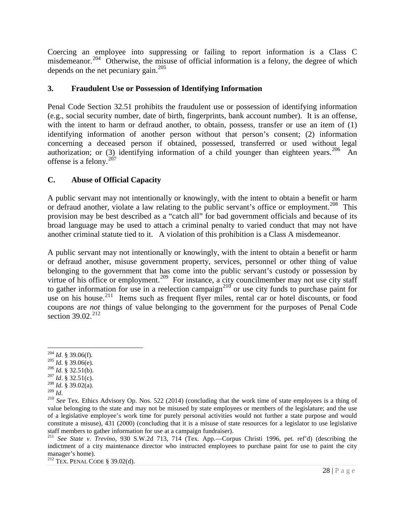Coercing an employee into suppressing or failing to report information is a Class C misdemeanor.<sup>[204](#page-27-0)</sup> Otherwise, the misuse of official information is a felony, the degree of which depends on the net pecuniary gain. [205](#page-27-1)

## **3. Fraudulent Use or Possession of Identifying Information**

Penal Code Section 32.51 prohibits the fraudulent use or possession of identifying information (e.g., social security number, date of birth, fingerprints, bank account number). It is an offense, with the intent to harm or defraud another, to obtain, possess, transfer or use an item of (1) identifying information of another person without that person's consent; (2) information concerning a deceased person if obtained, possessed, transferred or used without legal authorization; or (3) identifying information of a child younger than eighteen years.<sup>[206](#page-27-2)</sup> An offense is a felony. $207$ 

# **C. Abuse of Official Capacity**

A public servant may not intentionally or knowingly, with the intent to obtain a benefit or harm or defraud another, violate a law relating to the public servant's office or employment.<sup>[208](#page-27-4)</sup> This provision may be best described as a "catch all" for bad government officials and because of its broad language may be used to attach a criminal penalty to varied conduct that may not have another criminal statute tied to it. A violation of this prohibition is a Class A misdemeanor.

A public servant may not intentionally or knowingly, with the intent to obtain a benefit or harm or defraud another, misuse government property, services, personnel or other thing of value belonging to the government that has come into the public servant's custody or possession by virtue of his office or employment.<sup>209</sup> For instance, a city councilmember may not use city staff to gather information for use in a reelection campaign<sup>[210](#page-27-6)</sup> or use city funds to purchase paint for use on his house.<sup>[211](#page-27-7)</sup> Items such as frequent flyer miles, rental car or hotel discounts, or food coupons are *not* things of value belonging to the government for the purposes of Penal Code section 39.02.<sup>212</sup>

<span id="page-27-2"></span>

<span id="page-27-4"></span>

<span id="page-27-3"></span>

<span id="page-27-6"></span><span id="page-27-5"></span>

<span id="page-27-1"></span><span id="page-27-0"></span><sup>&</sup>lt;sup>204</sup> *Id.* § 39.06(f).<br>
<sup>205</sup> *Id.* § 39.06(e).<br>
<sup>206</sup> *Id.* § 32.51(b).<br>
<sup>207</sup> *Id.* § 32.51(c).<br>
<sup>208</sup> *Id.* § 39.02(a).<br>
<sup>208</sup> *Id.* § 39.02(a).<br>
<sup>208</sup> *Id.* § 39.02(a).<br>
<sup>209</sup> *Id.*<br>
<sup>209</sup> *Id.*<br>
<sup>209</sup> *Id.*<br>
<sup>209</sup> value belonging to the state and may not be misused by state employees or members of the legislature; and the use of a legislative employee's work time for purely personal activities would not further a state purpose and would constitute a misuse), 431 (2000) (concluding that it is a misuse of state resources for a legislator to use legislative

<span id="page-27-7"></span><sup>&</sup>lt;sup>211</sup> See State v. Trevino, 930 S.W.2d 713, 714 (Tex. App.—Corpus Christi 1996, pet. ref'd) (describing the indictment of a city maintenance director who instructed employees to purchase paint for use to paint the city manager's home).<br><sup>212</sup> TEX. PENAL CODE § 39.02(d).

<span id="page-27-8"></span>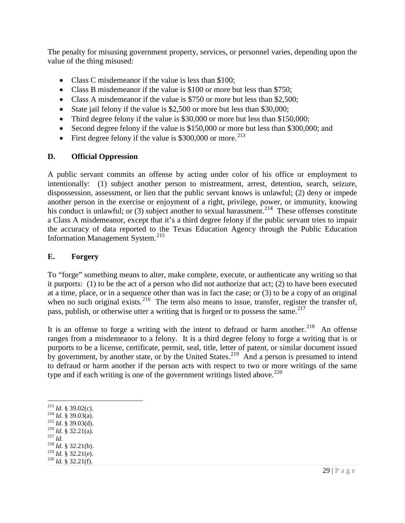The penalty for misusing government property, services, or personnel varies, depending upon the value of the thing misused:

- Class C misdemeanor if the value is less than \$100;
- Class B misdemeanor if the value is \$100 or more but less than \$750;
- Class A misdemeanor if the value is \$750 or more but less than \$2,500;
- State jail felony if the value is \$2,500 or more but less than \$30,000;
- Third degree felony if the value is \$30,000 or more but less than \$150,000;
- Second degree felony if the value is \$150,000 or more but less than \$300,000; and
- First degree felony if the value is  $$300,000$  or more.<sup>[213](#page-28-0)</sup>

#### **D. Official Oppression**

A public servant commits an offense by acting under color of his office or employment to intentionally: (1) subject another person to mistreatment, arrest, detention, search, seizure, dispossession, assessment, or lien that the public servant knows is unlawful; (2) deny or impede another person in the exercise or enjoyment of a right, privilege, power, or immunity, knowing his conduct is unlawful; or (3) subject another to sexual harassment.<sup>214</sup> These offenses constitute a Class A misdemeanor, except that it's a third degree felony if the public servant tries to impair the accuracy of data reported to the Texas Education Agency through the Public Education Information Management System. [215](#page-28-2)

#### **E. Forgery**

To "forge" something means to alter, make complete, execute, or authenticate any writing so that it purports: (1) to be the act of a person who did not authorize that act; (2) to have been executed at a time, place, or in a sequence other than was in fact the case; or (3) to be a copy of an original when no such original exists.<sup>216</sup> The term also means to issue, transfer, register the transfer of, pass, publish, or otherwise utter a writing that is forged or to possess the same.<sup>[217](#page-28-4)</sup>

It is an offense to forge a writing with the intent to defraud or harm another.<sup>218</sup> An offense ranges from a misdemeanor to a felony. It is a third degree felony to forge a writing that is or purports to be a license, certificate, permit, seal, title, letter of patent, or similar document issued by government, by another state, or by the United States.<sup>[219](#page-28-6)</sup> And a person is presumed to intend to defraud or harm another if the person acts with respect to two or more writings of the same type and if each writing is one of the government writings listed above.<sup>[220](#page-28-7)</sup>

- <span id="page-28-2"></span>
- <span id="page-28-3"></span>
- <span id="page-28-4"></span>
- 
- <span id="page-28-7"></span><span id="page-28-6"></span><span id="page-28-5"></span><sup>219</sup> *Id*. § 32.21(e). <sup>220</sup> *Id*. § 32.21(f).

<span id="page-28-1"></span><span id="page-28-0"></span>213 *Id*. § 39.02(c). 214 *Id*. § 39.03(a). 215 *Id*. § 39.03(d). 216 *Id*. § 32.21(a). 217 *Id*. 218 *Id*. § 32.21(b).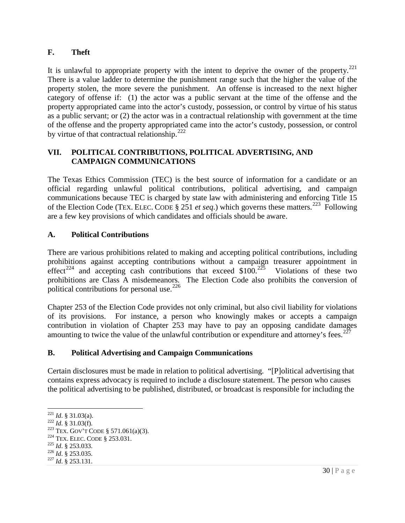## **F. Theft**

It is unlawful to appropriate property with the intent to deprive the owner of the property. $^{221}$  $^{221}$  $^{221}$ There is a value ladder to determine the punishment range such that the higher the value of the property stolen, the more severe the punishment. An offense is increased to the next higher category of offense if: (1) the actor was a public servant at the time of the offense and the property appropriated came into the actor's custody, possession, or control by virtue of his status as a public servant; or (2) the actor was in a contractual relationship with government at the time of the offense and the property appropriated came into the actor's custody, possession, or control by virtue of that contractual relationship. $^{222}$  $^{222}$  $^{222}$ 

## **VII. POLITICAL CONTRIBUTIONS, POLITICAL ADVERTISING, AND CAMPAIGN COMMUNICATIONS**

The Texas Ethics Commission (TEC) is the best source of information for a candidate or an official regarding unlawful political contributions, political advertising, and campaign communications because TEC is charged by state law with administering and enforcing Title 15 of the Election Code (TEX. ELEC. CODE § 251 *et seq*.) which governs these matters.[223](#page-29-2) Following are a few key provisions of which candidates and officials should be aware.

## **A. Political Contributions**

There are various prohibitions related to making and accepting political contributions, including prohibitions against accepting contributions without a campaign treasurer appointment in effect<sup>[224](#page-29-3)</sup> and accepting cash contributions that exceed \$100.<sup>225</sup> Violations of these two prohibitions are Class A misdemeanors. The Election Code also prohibits the conversion of political contributions for personal use.<sup>[226](#page-29-5)</sup>

Chapter 253 of the Election Code provides not only criminal, but also civil liability for violations of its provisions. For instance, a person who knowingly makes or accepts a campaign contribution in violation of Chapter 253 may have to pay an opposing candidate damages amounting to twice the value of the unlawful contribution or expenditure and attorney's fees.<sup>[227](#page-29-6)</sup>

## **B. Political Advertising and Campaign Communications**

Certain disclosures must be made in relation to political advertising. "[P]olitical advertising that contains express advocacy is required to include a disclosure statement. The person who causes the political advertising to be published, distributed, or broadcast is responsible for including the

<span id="page-29-1"></span><span id="page-29-0"></span><sup>221</sup> *Id.* § 31.03(a).<br>
<sup>222</sup> *Id.* § 31.03(f).<br>
<sup>223</sup> TEX. GOV'T CODE § 571.061(a)(3).<br>
<sup>224</sup> TEX. ELEC. CODE § 253.031.<br>
<sup>225</sup> *Id.* § 253.035.<br>
<sup>226</sup> *Id.* § 253.035.<br>
<sup>227</sup> *Id.* § 253.131.

<span id="page-29-3"></span><span id="page-29-2"></span>

<span id="page-29-4"></span>

<span id="page-29-5"></span>

<span id="page-29-6"></span>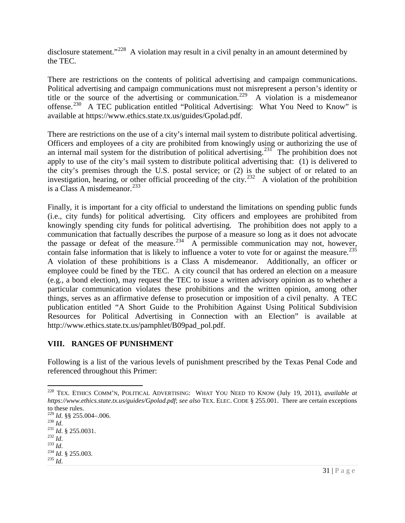disclosure statement."<sup>228</sup> A violation may result in a civil penalty in an amount determined by the TEC.

There are restrictions on the contents of political advertising and campaign communications. Political advertising and campaign communications must not misrepresent a person's identity or title or the source of the advertising or communication. [229](#page-30-1) A violation is a misdemeanor offense.<sup>[230](#page-30-2)</sup> A TEC publication entitled "Political Advertising: What You Need to Know" is available at https://www.ethics.state.tx.us/guides/Gpolad.pdf.

There are restrictions on the use of a city's internal mail system to distribute political advertising. Officers and employees of a city are prohibited from knowingly using or authorizing the use of an internal mail system for the distribution of political advertising.<sup>231</sup> The prohibition does not apply to use of the city's mail system to distribute political advertising that: (1) is delivered to the city's premises through the U.S. postal service; or (2) is the subject of or related to an investigation, hearing, or other official proceeding of the city.<sup>232</sup> A violation of the prohibition is a Class A misdemeanor. $^{233}$  $^{233}$  $^{233}$ 

Finally, it is important for a city official to understand the limitations on spending public funds (i.e., city funds) for political advertising. City officers and employees are prohibited from knowingly spending city funds for political advertising. The prohibition does not apply to a communication that factually describes the purpose of a measure so long as it does not advocate the passage or defeat of the measure.<sup>[234](#page-30-6)</sup> A permissible communication may not, however, contain false information that is likely to influence a voter to vote for or against the measure.<sup>[235](#page-30-7)</sup> [http://www.ethics.state.tx.us/pamphlet/B09pad\\_pol.pdf](http://www.ethics.state.tx.us/pamphlet/B09pad_pol.pdf) . A violation of these prohibitions is a Class A misdemeanor. Additionally, an officer or employee could be fined by the TEC. A city council that has ordered an election on a measure (e.g., a bond election), may request the TEC to issue a written advisory opinion as to whether a particular communication violates these prohibitions and the written opinion, among other things, serves as an affirmative defense to prosecution or imposition of a civil penalty. A TEC publication entitled "A Short Guide to the Prohibition Against Using Political Subdivision Resources for Political Advertising in Connection with an Election" is available at

## **VIII. RANGES OF PUNISHMENT**

Following is a list of the various levels of punishment prescribed by the Texas Penal Code and referenced throughout this Primer:

<span id="page-30-0"></span><sup>228</sup> TEX. ETHICS COMM'N, POLITICAL ADVERTISING: WHAT YOU NEED TO KNOW (July 19, 2011), *available at https://www.ethics.state.tx.us/guides/Gpolad.pdf*; *see also* TEX. ELEC. CODE § 255.001. There are certain exceptions to these rules.

<span id="page-30-2"></span><span id="page-30-1"></span><sup>229</sup> *Id.* §§ 255.004–.006.<br>
<sup>230</sup> *Id.* § 255.0031.<br>
<sup>231</sup> *Id.* § 255.0031.<br>
<sup>233</sup> *Id.* <sup>234</sup> *Id.* § 255.003.<br>
<sup>235</sup> *Id*.

<span id="page-30-3"></span>

<span id="page-30-4"></span>

<span id="page-30-5"></span>

<span id="page-30-7"></span><span id="page-30-6"></span>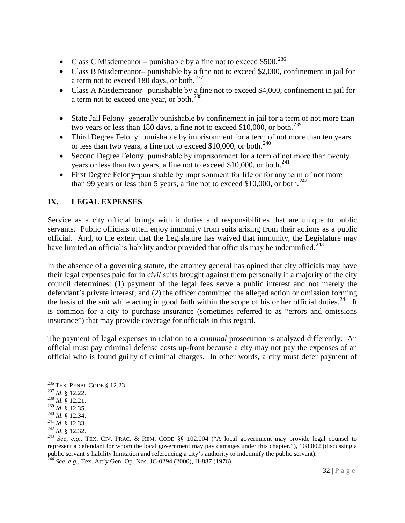- Class C Misdemeanor punishable by a fine not to exceed \$500.<sup>[236](#page-31-0)</sup>
- Class B Misdemeanor– punishable by a fine not to exceed \$2,000, confinement in jail for a term not to exceed 180 days, or both. $^{237}$  $^{237}$  $^{237}$
- Class A Misdemeanor– punishable by a fine not to exceed \$4,000, confinement in jail for a term not to exceed one year, or both.<sup>[238](#page-31-2)</sup>
- State Jail Felony−generally punishable by confinement in jail for a term of not more than two years or less than 180 days, a fine not to exceed \$10,000, or both.<sup>[239](#page-31-3)</sup>
- Third Degree Felony−punishable by imprisonment for a term of not more than ten years or less than two years, a fine not to exceed \$10,000, or both.<sup>[240](#page-31-4)</sup>
- Second Degree Felony−punishable by imprisonment for a term of not more than twenty years or less than two years, a fine not to exceed \$10,000, or both. $^{241}$  $^{241}$  $^{241}$
- First Degree Felony−punishable by imprisonment for life or for any term of not more than 99 years or less than 5 years, a fine not to exceed \$10,000, or both.<sup>[242](#page-31-6)</sup>

# **IX. LEGAL EXPENSES**

Service as a city official brings with it duties and responsibilities that are unique to public servants. Public officials often enjoy immunity from suits arising from their actions as a public official. And, to the extent that the Legislature has waived that immunity, the Legislature may have limited an official's liability and/or provided that officials may be indemnified.<sup>243</sup>

In the absence of a governing statute, the attorney general has opined that city officials may have their legal expenses paid for in *civil* suits brought against them personally if a majority of the city council determines: (1) payment of the legal fees serve a public interest and not merely the defendant's private interest; and (2) the officer committed the alleged action or omission forming the basis of the suit while acting in good faith within the scope of his or her official duties.<sup>[244](#page-31-8)</sup> It is common for a city to purchase insurance (sometimes referred to as "errors and omissions insurance") that may provide coverage for officials in this regard.

The payment of legal expenses in relation to a *criminal* prosecution is analyzed differently. An official must pay criminal defense costs up-front because a city may not pay the expenses of an official who is found guilty of criminal charges. In other words, a city must defer payment of

<span id="page-31-8"></span>

<span id="page-31-1"></span><span id="page-31-0"></span><sup>236</sup> TEX. PENAL CODE § 12.23. <sup>237</sup> *Id*. § 12.22. <sup>238</sup> *Id*. § 12.21.

<span id="page-31-2"></span>

<span id="page-31-5"></span>

<span id="page-31-7"></span><span id="page-31-6"></span>

<span id="page-31-4"></span><span id="page-31-3"></span><sup>240</sup> *Id.* § 12.35.<br>
241 *Id.* § 12.34.<br>
<sup>241</sup> *Id.* § 12.33.<br>
<sup>242</sup> *Id.* § 12.32.<br>
<sup>243</sup> *See, e.g.*, TEX. CIV. PRAC. & REM. CODE §§ 102.004 ("A local government may provide legal counsel to represent a defendant for whom the local government may pay damages under this chapter."), 108.002 (discussing a public servant's liability limitation and referencing a city's authority to indemnify the public servant). <sup>244</sup> *See, e.g.*, Tex. Att'y Gen. Op. Nos. JC-0294 (2000), H-887 (1976).